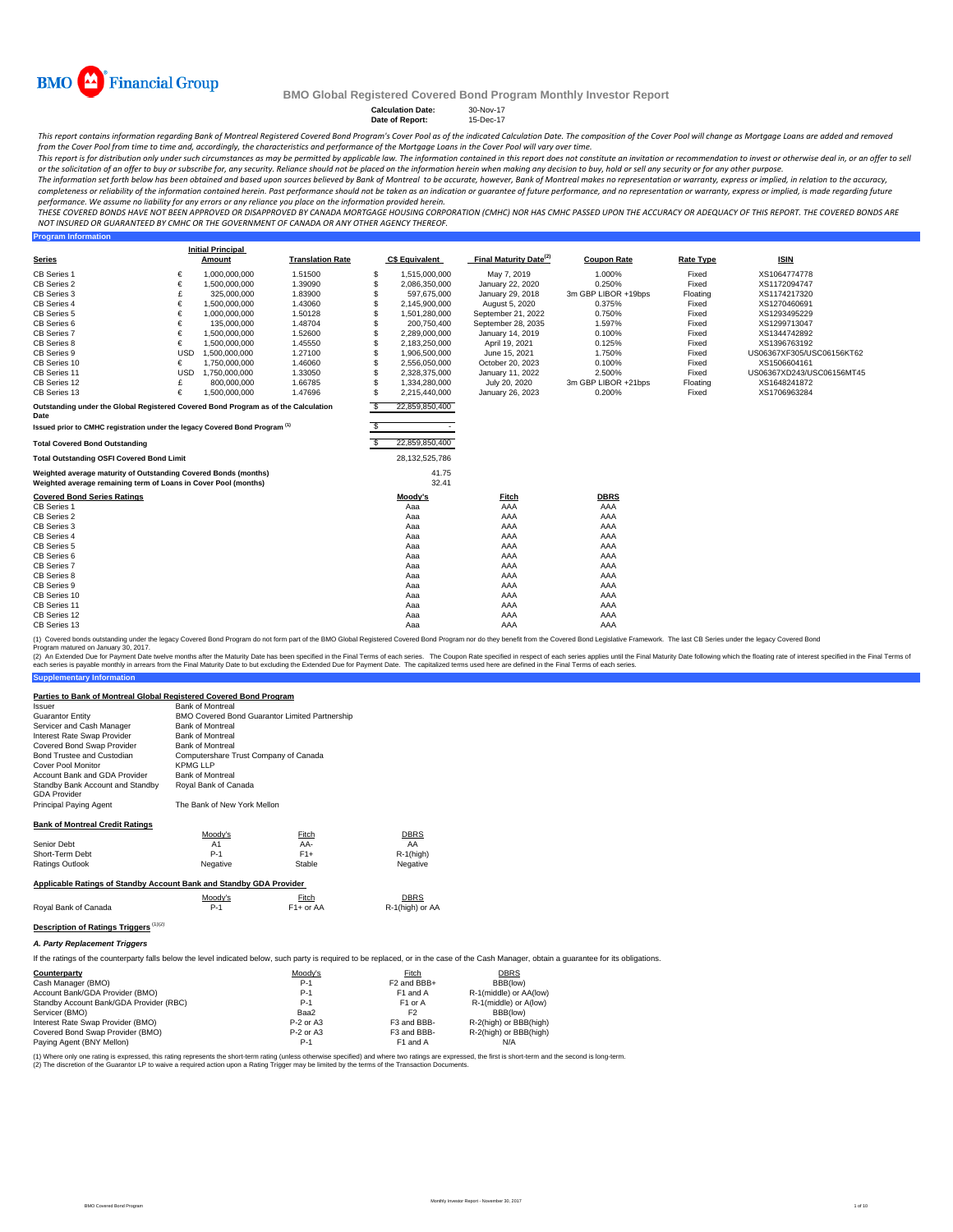

**Program Information**

#### **BMO Global Registered Covered Bond Program Monthly Investor Report**

**Calculation Date:** 30-Nov-17 **Date of Report:** 15-Dec-17

This report contains information regarding Bank of Montreal Registered Covered Bond Program's Cover Pool as of the indicated Calculation Date. The composition of the Cover Pool will change as Mortgage Loans are added and r from the Cover Pool from time to time and, accordingly, the characteristics and performance of the Mortgage Loans in the Cover Pool will vary over time.

This report is for distribution only under such circumstances as may be permitted by applicable law. The information contained in this report does not constitute an invitation or recommendation to invest or otherwise deal

The information set forth below has been obtained and based upon sources believed by Bank of Montreal to be accurate, however, Bank of Montreal makes no representation or warranty, express or implied, in relation to the ac completeness or reliability of the information contained herein. Past performance should not be taken as an indication or guarantee of future performance, and no representation or warranty, express or implied, is made rega performance. We assume no liability for any errors or any reliance you place on the information provided herein.

THESE COVERED BONDS HAVE NOT BEEN APPROVED OR DISAPPROVED BY CANADA MORTGAGE HOUSING CORPORATION (CMHC) NOR HAS CMHC PASSED UPON THE ACCURACY OR ADEQUACY OF THIS REPORT. THE COVERED BONDS ARE<br>NOT INSURED OR GUARANTEED BY C

|                                                                                                                                    |            | <b>Initial Principal</b> |                         |     |                       |                                    |                     |                  |                           |
|------------------------------------------------------------------------------------------------------------------------------------|------------|--------------------------|-------------------------|-----|-----------------------|------------------------------------|---------------------|------------------|---------------------------|
| <b>Series</b>                                                                                                                      |            | Amount                   | <b>Translation Rate</b> |     | <b>C\$ Equivalent</b> | Final Maturity Date <sup>(2)</sup> | <b>Coupon Rate</b>  | <b>Rate Type</b> | <b>ISIN</b>               |
| CB Series 1                                                                                                                        | €          | 1,000,000,000            | 1.51500                 | S   | 1.515.000.000         | May 7, 2019                        | 1.000%              | Fixed            | XS1064774778              |
| CB Series 2                                                                                                                        | €          | 1,500,000,000            | 1.39090                 | S   | 2,086,350,000         | January 22, 2020                   | 0.250%              | Fixed            | XS1172094747              |
| CB Series 3                                                                                                                        | £          | 325,000,000              | 1.83900                 | S   | 597,675,000           | January 29, 2018                   | 3m GBP LIBOR +19bps | Floating         | XS1174217320              |
| CB Series 4                                                                                                                        | €          | 1,500,000,000            | 1.43060                 | S   | 2,145,900,000         | August 5, 2020                     | 0.375%              | Fixed            | XS1270460691              |
| CB Series 5                                                                                                                        | €          | 1.000.000.000            | 1.50128                 | S   | 1,501,280,000         | September 21, 2022                 | 0.750%              | Fixed            | XS1293495229              |
| CB Series 6                                                                                                                        | €          | 135,000,000              | 1.48704                 | s   | 200,750,400           | September 28, 2035                 | 1.597%              | Fixed            | XS1299713047              |
| CB Series 7                                                                                                                        | €          | 1,500,000,000            | 1.52600                 | S   | 2,289,000,000         | January 14, 2019                   | 0.100%              | Fixed            | XS1344742892              |
| CB Series 8                                                                                                                        | €          | 1.500.000.000            | 1.45550                 | S   | 2,183,250,000         | April 19, 2021                     | 0.125%              | Fixed            | XS1396763192              |
| CB Series 9                                                                                                                        | <b>USD</b> | 1.500.000.000            | 1.27100                 | S   | 1,906,500,000         | June 15, 2021                      | 1.750%              | Fixed            | US06367XF305/USC06156KT62 |
| CB Series 10                                                                                                                       | €          | 1,750,000,000            | 1.46060                 |     | 2,556,050,000         | October 20, 2023                   | 0.100%              | Fixed            | XS1506604161              |
| CB Series 11                                                                                                                       | <b>USD</b> | 1,750,000,000            | 1.33050                 | S   | 2,328,375,000         | January 11, 2022                   | 2.500%              | Fixed            | US06367XD243/USC06156MT45 |
| CB Series 12                                                                                                                       | £          | 800,000,000              | 1.66785                 | S   | 1.334.280.000         | July 20, 2020                      | 3m GBP LIBOR +21bps | Floating         | XS1648241872              |
| CB Series 13                                                                                                                       | €          | 1.500.000.000            | 1.47696                 | \$. | 2,215,440,000         | January 26, 2023                   | 0.200%              | Fixed            | XS1706963284              |
| Outstanding under the Global Registered Covered Bond Program as of the Calculation<br>Date                                         |            |                          |                         | S   | 22,859,850,400        |                                    |                     |                  |                           |
| Issued prior to CMHC registration under the legacy Covered Bond Program <sup>(1)</sup>                                             |            |                          |                         | s   |                       |                                    |                     |                  |                           |
|                                                                                                                                    |            |                          |                         | S   |                       |                                    |                     |                  |                           |
| <b>Total Covered Bond Outstanding</b>                                                                                              |            |                          |                         |     | 22,859,850,400        |                                    |                     |                  |                           |
| <b>Total Outstanding OSFI Covered Bond Limit</b>                                                                                   |            |                          |                         |     | 28,132,525,786        |                                    |                     |                  |                           |
| Weighted average maturity of Outstanding Covered Bonds (months)<br>Weighted average remaining term of Loans in Cover Pool (months) |            |                          |                         |     | 41.75<br>32.41        |                                    |                     |                  |                           |
| <b>Covered Bond Series Ratings</b>                                                                                                 |            |                          |                         |     | Moody's               | Fitch                              | <b>DBRS</b>         |                  |                           |
| CB Series 1                                                                                                                        |            |                          |                         |     | Aaa                   | AAA                                | AAA                 |                  |                           |
| CB Series 2                                                                                                                        |            |                          |                         |     | Aaa                   | AAA                                | AAA                 |                  |                           |
| CB Series 3                                                                                                                        |            |                          |                         |     | Aaa                   | AAA                                | AAA                 |                  |                           |
| CB Series 4                                                                                                                        |            |                          |                         |     | Aaa                   | AAA                                | AAA                 |                  |                           |
| CB Series 5                                                                                                                        |            |                          |                         |     | Aaa                   | AAA                                | AAA                 |                  |                           |
| CB Series 6                                                                                                                        |            |                          |                         |     | Aaa                   | AAA                                | AAA                 |                  |                           |
| CB Series 7                                                                                                                        |            |                          |                         |     | Aaa                   | AAA                                | AAA                 |                  |                           |
| CB Series 8                                                                                                                        |            |                          |                         |     | Aaa                   | AAA                                | AAA                 |                  |                           |
| CB Series 9                                                                                                                        |            |                          |                         |     | Aaa                   | AAA                                | AAA                 |                  |                           |
| CB Series 10                                                                                                                       |            |                          |                         |     | Aaa                   | AAA                                | AAA                 |                  |                           |
| CB Series 11                                                                                                                       |            |                          |                         |     | Aaa                   | AAA                                | AAA                 |                  |                           |
| CB Series 12                                                                                                                       |            |                          |                         |     | Aaa                   | AAA                                | AAA                 |                  |                           |
| CB Series 13                                                                                                                       |            |                          |                         |     | Aaa                   | AAA                                | AAA                 |                  |                           |

(1) Covered bonds outstanding under the legacy Covered Bond Program do not form part of the BMO Global Registered Covered Bond Program nor do they benefit from the Covered Bond Legislative Framework. The last CB Series und Program matured on January 30, 2017.

(2) An Extended Due for Payment Date twelve months after the Maturity Date has been specified in the Final Terms of each series. The Coupon Rate specified in the Sinal Maturity Date tolet on the Final Maturity Date to but

| Parties to Bank of Montreal Global Registered Covered Bond Program |                                       |                                                       |                      |
|--------------------------------------------------------------------|---------------------------------------|-------------------------------------------------------|----------------------|
| Issuer                                                             | <b>Bank of Montreal</b>               |                                                       |                      |
| <b>Guarantor Entity</b>                                            |                                       | <b>BMO Covered Bond Guarantor Limited Partnership</b> |                      |
| Servicer and Cash Manager                                          | <b>Bank of Montreal</b>               |                                                       |                      |
| Interest Rate Swap Provider                                        | <b>Bank of Montreal</b>               |                                                       |                      |
| Covered Bond Swap Provider                                         | <b>Bank of Montreal</b>               |                                                       |                      |
| Bond Trustee and Custodian                                         | Computershare Trust Company of Canada |                                                       |                      |
| Cover Pool Monitor                                                 | <b>KPMGLLP</b>                        |                                                       |                      |
| Account Bank and GDA Provider                                      | <b>Bank of Montreal</b>               |                                                       |                      |
| Standby Bank Account and Standby                                   | Roval Bank of Canada                  |                                                       |                      |
| <b>GDA Provider</b>                                                |                                       |                                                       |                      |
| Principal Paying Agent                                             | The Bank of New York Mellon           |                                                       |                      |
| <b>Bank of Montreal Credit Ratings</b>                             |                                       |                                                       |                      |
|                                                                    | Moody's                               | Fitch                                                 | <b>DBRS</b>          |
| .                                                                  | . .                                   | $\ddot{\phantom{1}}$                                  | $\ddot{\phantom{1}}$ |

| Senior Debt     | A <sub>1</sub> | AA-    | AA        |
|-----------------|----------------|--------|-----------|
| Short-Term Debt | $P-1$          | $F1+$  | R-1(high) |
| Ratings Outlook | Negative       | Stable | Negative  |
|                 |                |        |           |

# **Applicable Ratings of Standby Account Bank and Standby GDA Provider**

|                      | Moody's | Fitch     | <b>DBRS</b>     |
|----------------------|---------|-----------|-----------------|
| Royal Bank of Canada | P.1     | F1+ or AA | R-1(high) or AA |
|                      |         |           |                 |

# **Description of Ratings Triggers** (1)(2)

**Supplementary Information**

*A. Party Replacement Triggers*

If the ratings of the counterparty falls below the level indicated below, such party is required to be replaced, or in the case of the Cash Manager, obtain a quarantee for its obligations.

| Counterparty                            | Moody's     | Fitch                   | <b>DBRS</b>            |  |
|-----------------------------------------|-------------|-------------------------|------------------------|--|
| Cash Manager (BMO)                      | $P-1$       | F <sub>2</sub> and BBB+ | BBB(low)               |  |
| Account Bank/GDA Provider (BMO)         | $P-1$       | F1 and A                | R-1(middle) or AA(low) |  |
| Standby Account Bank/GDA Provider (RBC) | $P-1$       | F <sub>1</sub> or A     | R-1(middle) or A(low)  |  |
| Servicer (BMO)                          | Baa2        | F2                      | BBB(low)               |  |
| Interest Rate Swap Provider (BMO)       | P-2 or A3   | F3 and BBB-             | R-2(high) or BBB(high) |  |
| Covered Bond Swap Provider (BMO)        | $P-2$ or A3 | F3 and BBB-             | R-2(high) or BBB(high) |  |
| Paying Agent (BNY Mellon)               | $P-1$       | F1 and A                | N/A                    |  |

(1) Where only one rating is expressed, this rating represents the short-term rating (unless otherwise specified) and where two ratings are expressed, the first is short-term and the second is long-term.<br>(2) The discretion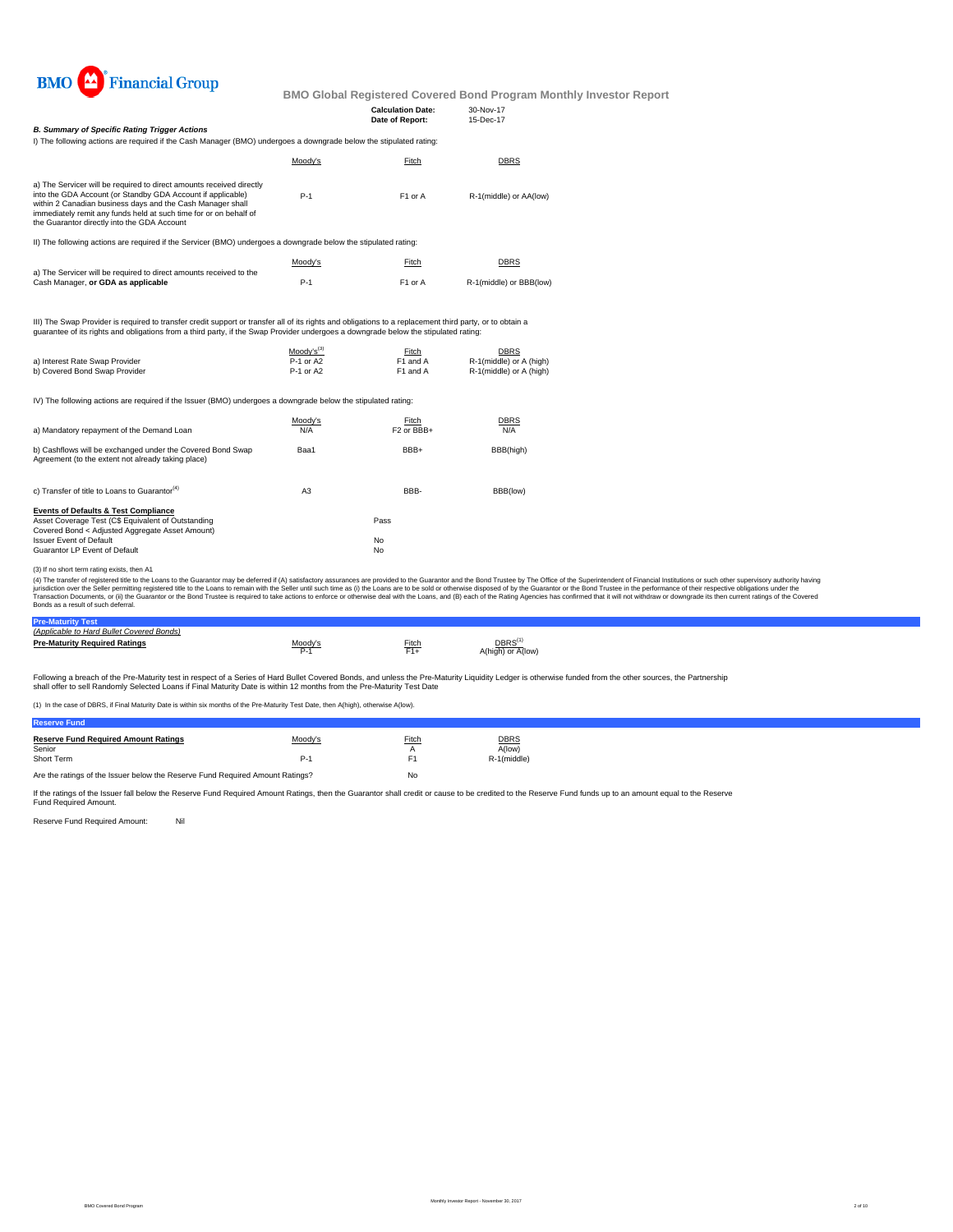

**Calculation Date:** 30-Nov-17

|                                                                                                                                                                                                                                                                                                                       |         | Date of Report: | 15-Dec-17               |
|-----------------------------------------------------------------------------------------------------------------------------------------------------------------------------------------------------------------------------------------------------------------------------------------------------------------------|---------|-----------------|-------------------------|
| <b>B. Summary of Specific Rating Trigger Actions</b><br>I) The following actions are required if the Cash Manager (BMO) undergoes a downgrade below the stipulated rating:                                                                                                                                            |         |                 |                         |
|                                                                                                                                                                                                                                                                                                                       | Moody's | Fitch           | <b>DBRS</b>             |
| a) The Servicer will be required to direct amounts received directly<br>into the GDA Account (or Standby GDA Account if applicable)<br>within 2 Canadian business days and the Cash Manager shall<br>immediately remit any funds held at such time for or on behalf of<br>the Guarantor directly into the GDA Account | $P-1$   | F1 or A         | R-1(middle) or AA(low)  |
| II) The following actions are required if the Servicer (BMO) undergoes a downgrade below the stipulated rating:                                                                                                                                                                                                       |         |                 |                         |
|                                                                                                                                                                                                                                                                                                                       | Moody's | Fitch           | <b>DBRS</b>             |
| a) The Servicer will be required to direct amounts received to the<br>Cash Manager, or GDA as applicable                                                                                                                                                                                                              | $P-1$   | F1 or A         | R-1(middle) or BBB(low) |
|                                                                                                                                                                                                                                                                                                                       |         |                 |                         |

III) The Swap Provider is required to transfer credit support or transfer all of its rights and obligations to a replacement third party, or to obtain a<br>guarantee of its rights and obligations from a third party, if the Sw

|                                | $Modv's^{(3)}$ | Fitch    | DBRS                    |
|--------------------------------|----------------|----------|-------------------------|
| a) Interest Rate Swap Provider | P-1 or A2      | F1 and A | R-1(middle) or A (high) |
| b) Covered Bond Swap Provider  | P-1 or A2      | F1 and A | R-1(middle) or A (high) |

IV) The following actions are required if the Issuer (BMO) undergoes a downgrade below the stipulated rating:

| a) Mandatory repayment of the Demand Loan                                                                                                                                                                                   | Moody's<br>N/A | Fitch<br>F <sub>2</sub> or BBB+ | <b>DBRS</b><br>N/A |
|-----------------------------------------------------------------------------------------------------------------------------------------------------------------------------------------------------------------------------|----------------|---------------------------------|--------------------|
| b) Cashflows will be exchanged under the Covered Bond Swap<br>Agreement (to the extent not already taking place)                                                                                                            | Baa1           | BBB+                            | BBB(high)          |
| c) Transfer of title to Loans to Guarantor <sup>(4)</sup>                                                                                                                                                                   | A <sub>3</sub> | BBB-                            | BBB(low)           |
| <b>Events of Defaults &amp; Test Compliance</b><br>Asset Coverage Test (C\$ Equivalent of Outstanding<br>Covered Bond < Adjusted Aggregate Asset Amount)<br><b>Issuer Event of Default</b><br>Guarantor LP Event of Default |                | Pass<br>No<br>No                |                    |

(3) If no short term rating exists, then A1

(4) The transfer of registered tilte to the Loans to the Guarantor may be deferred if (A) satistadoy assurances are provided to the Guarantor and the Bond Trustee by the Odifice of the System Trustee in the performance of

#### **Pre-Maturity Test** *(Applicable to Hard Bullet Covered Bonds)*

| <u>IADDIICADIE IU FAIU DUIIEI COVEIEU DUIIUSI </u> |         |          |                                         |
|----------------------------------------------------|---------|----------|-----------------------------------------|
| <b>Pre-Maturity Required Ratings</b>               | Moodv's | $F$ itch | DBRS <sup>(1</sup><br>A(high) or A(low) |

Following a breach of the Pre-Maturity test in respect of a Series of Hard Bullet Covered Bonds, and unless the Pre-Maturity Liquidity Ledger is otherwise funded from the other sources, the Partnership<br>shall offer to sell

(1) In the case of DBRS, if Final Maturity Date is within six months of the Pre-Maturity Test Date, then A(high), otherwise A(low).

| <b>Reserve Fund Required Amount Ratings</b> | Moody's | Fitch | <b>DBRS</b> |
|---------------------------------------------|---------|-------|-------------|
| Senior                                      |         |       | A(low)      |
| Short Term                                  | P-1     |       | R-1(middle) |
|                                             |         |       |             |

Are the ratings of the Issuer below the Reserve Fund Required Amount Ratings? No

If the ratings of the Issuer fall below the Reserve Fund Required Amount Ratings, then the Guarantor shall credit or cause to be credited to the Reserve Fund funds up to an amount equal to the Reserve Fund Required Amount.

Reserve Fund Required Amount: Nil

**Reserve Fund**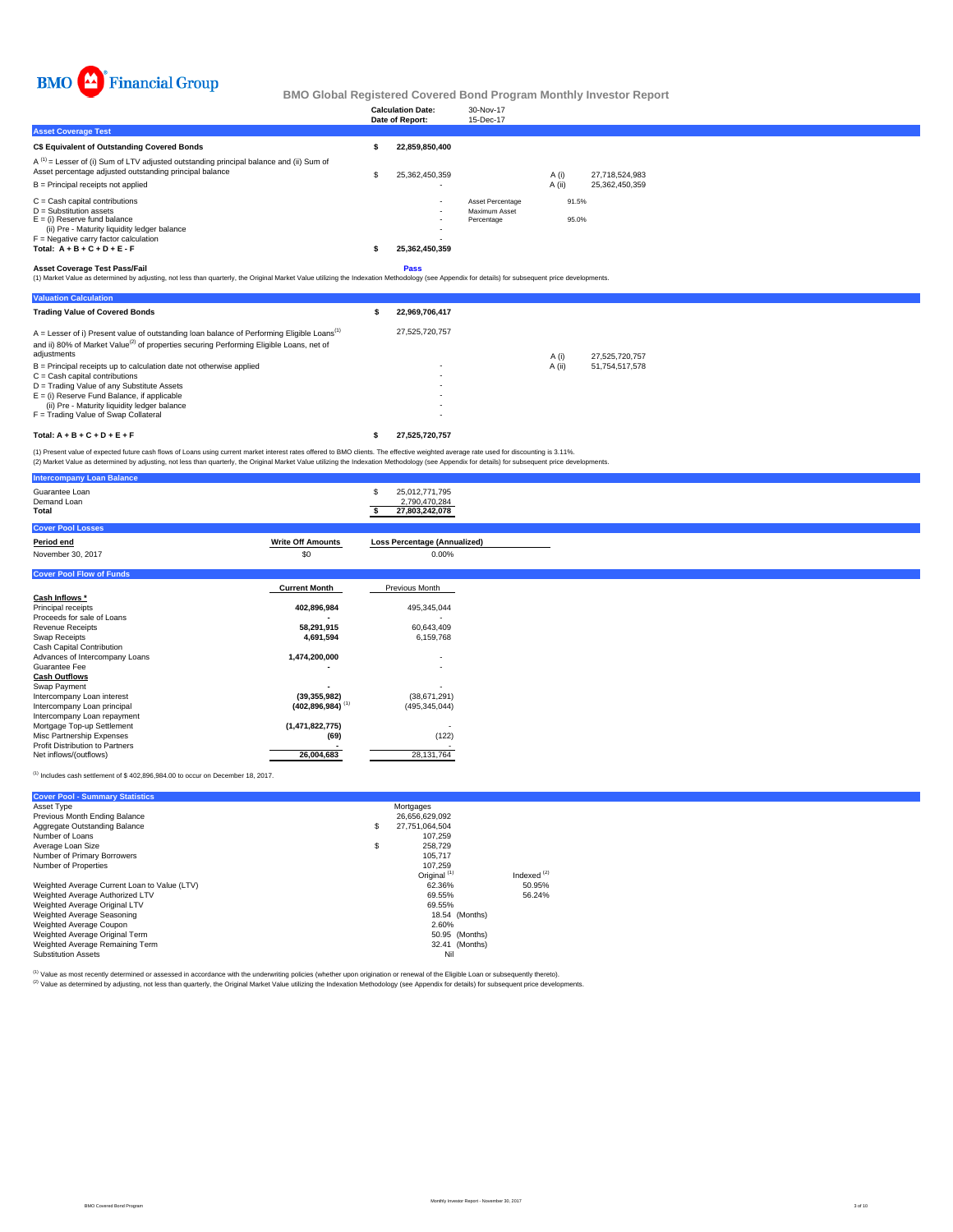

|                                                                                                                                                        | <b>Calculation Date:</b><br>Date of Report: | 30-Nov-17<br>15-Dec-17            |        |                |  |
|--------------------------------------------------------------------------------------------------------------------------------------------------------|---------------------------------------------|-----------------------------------|--------|----------------|--|
| <b>Asset Coverage Test</b>                                                                                                                             |                                             |                                   |        |                |  |
| C\$ Equivalent of Outstanding Covered Bonds                                                                                                            | 22.859.850.400                              |                                   |        |                |  |
| $A^{(1)}$ = Lesser of (i) Sum of LTV adjusted outstanding principal balance and (ii) Sum of<br>Asset percentage adjusted outstanding principal balance | 25.362.450.359                              |                                   | A (i)  | 27.718.524.983 |  |
| B = Principal receipts not applied                                                                                                                     | ٠.                                          |                                   | A (ii) | 25.362.450.359 |  |
| $C =$ Cash capital contributions<br>$D =$ Substitution assets                                                                                          | $\sim$<br>$\sim$                            | Asset Percentage<br>Maximum Asset | 91.5%  |                |  |
| $E =$ (i) Reserve fund balance<br>(ii) Pre - Maturity liquidity ledger balance                                                                         |                                             | Percentage                        | 95.0%  |                |  |
| $F =$ Negative carry factor calculation                                                                                                                | ٠.                                          |                                   |        |                |  |
| Total: $A + B + C + D + E - F$                                                                                                                         | 25,362,450,359                              |                                   |        |                |  |
| .                                                                                                                                                      |                                             |                                   |        |                |  |

**Asset Coverage Test Pass/Fail**<br>(1) Market Value as determined by adjusting, not less than quarterly, the Original Market Value utilizing the Indexation Methodology (see Appendix for details) for subsequent price developme

| <b>Valuation Calculation</b>                                                                                                                                                                                                   |   |                |        |                |
|--------------------------------------------------------------------------------------------------------------------------------------------------------------------------------------------------------------------------------|---|----------------|--------|----------------|
| <b>Trading Value of Covered Bonds</b>                                                                                                                                                                                          | ж | 22.969.706.417 |        |                |
| $A =$ Lesser of i) Present value of outstanding loan balance of Performing Eligible Loans <sup>(1)</sup><br>and ii) 80% of Market Value <sup>(2)</sup> of properties securing Performing Eligible Loans, net of<br>adjustments |   | 27.525.720.757 | A (i)  | 27.525.720.757 |
| B = Principal receipts up to calculation date not otherwise applied                                                                                                                                                            |   | ۰              | A (ii) | 51.754.517.578 |
| $C =$ Cash capital contributions                                                                                                                                                                                               |   | ۰              |        |                |
| D = Trading Value of any Substitute Assets                                                                                                                                                                                     |   | ۰              |        |                |
| $E =$ (i) Reserve Fund Balance, if applicable                                                                                                                                                                                  |   |                |        |                |
| (ii) Pre - Maturity liquidity ledger balance                                                                                                                                                                                   |   |                |        |                |
| F = Trading Value of Swap Collateral                                                                                                                                                                                           |   |                |        |                |
| Total: $A + B + C + D + E + F$                                                                                                                                                                                                 |   | 27.525.720.757 |        |                |

(1) Present value of expected future cash flows of Loans using current market interest rates offered to BMO clients. The effective weighted average rate used for discounting is 3.11%.<br>(2) Market Value as determined by adju

|                          | 25,012,771,795<br>S<br>2,790,470,284                                                                                                 |
|--------------------------|--------------------------------------------------------------------------------------------------------------------------------------|
|                          | 27,803,242,078                                                                                                                       |
|                          |                                                                                                                                      |
| <b>Write Off Amounts</b> | <b>Loss Percentage (Annualized)</b>                                                                                                  |
| \$0                      | 0.00%                                                                                                                                |
|                          |                                                                                                                                      |
|                          | Previous Month                                                                                                                       |
|                          |                                                                                                                                      |
| 402,896,984              | 495,345,044                                                                                                                          |
|                          |                                                                                                                                      |
| 58,291,915               | 60,643,409                                                                                                                           |
| 4,691,594                | 6,159,768                                                                                                                            |
|                          |                                                                                                                                      |
|                          | $\overline{\phantom{a}}$                                                                                                             |
|                          | $\overline{\phantom{a}}$                                                                                                             |
|                          |                                                                                                                                      |
|                          |                                                                                                                                      |
|                          | (38,671,291)                                                                                                                         |
|                          | (495, 345, 044)                                                                                                                      |
|                          |                                                                                                                                      |
|                          |                                                                                                                                      |
|                          | (122)                                                                                                                                |
|                          |                                                                                                                                      |
|                          | 28, 131, 764                                                                                                                         |
|                          | <b>Current Month</b><br>1,474,200,000<br>(39, 355, 982)<br>$(402, 896, 984)$ <sup>(1)</sup><br>(1,471,822,775)<br>(69)<br>26,004,683 |

 $<sup>(1)</sup>$  Includes cash settlement of \$402,896,984.00 to occur on December 18, 2017.</sup>

| <b>Cover Pool - Summary Statistics</b>       |                         |               |
|----------------------------------------------|-------------------------|---------------|
| Asset Type                                   | Mortgages               |               |
| Previous Month Ending Balance                | 26,656,629,092          |               |
| Aggregate Outstanding Balance                | \$<br>27.751.064.504    |               |
| Number of Loans                              | 107.259                 |               |
| Average Loan Size                            | \$<br>258.729           |               |
| Number of Primary Borrowers                  | 105,717                 |               |
| Number of Properties                         | 107.259                 |               |
|                                              | Original <sup>(1)</sup> | Indexed $(2)$ |
| Weighted Average Current Loan to Value (LTV) | 62.36%                  | 50.95%        |
| Weighted Average Authorized LTV              | 69.55%                  | 56.24%        |
| Weighted Average Original LTV                | 69.55%                  |               |
| Weighted Average Seasoning                   | 18.54 (Months)          |               |
| Weighted Average Coupon                      | 2.60%                   |               |
| Weighted Average Original Term               | 50.95 (Months)          |               |
| Weighted Average Remaining Term              | 32.41 (Months)          |               |
| <b>Substitution Assets</b>                   | Nil                     |               |

<sup>(t)</sup> Value as most recently determined or assessed in accordance with the underwriting policies (whether upon origination or renewal of the Eligible Loan or subsequently thereto).<br><sup>(2)</sup> Value as determined by adjusting, n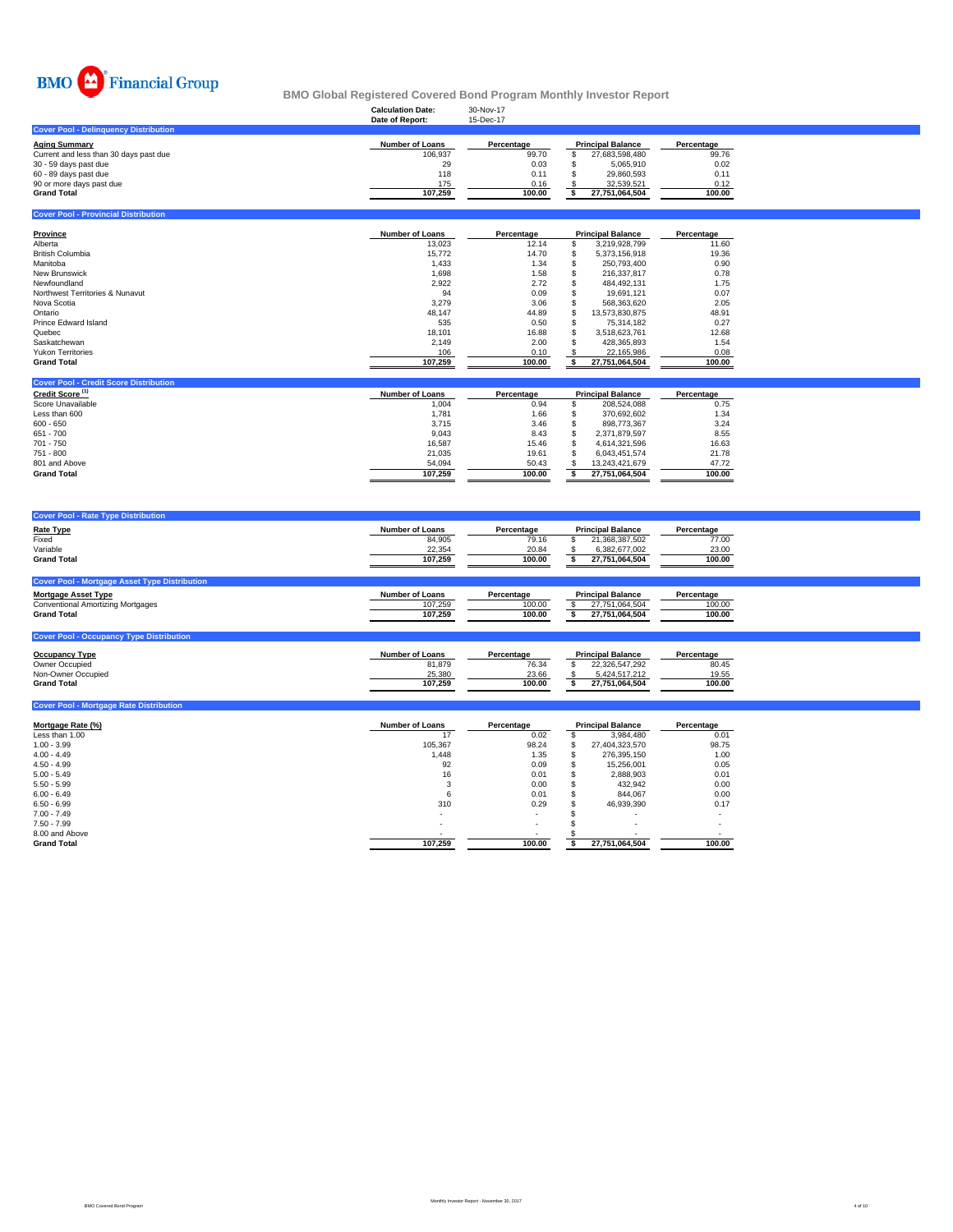

**Cover Pool - Provincial Distri** 

### **Calculation Date:** 30-Nov-17 **BMO Global Registered Covered Bond Program Monthly Investor Report**

|                                              | Date of Report: | 15-Dec-17  |                          |            |
|----------------------------------------------|-----------------|------------|--------------------------|------------|
| <b>Cover Pool - Delinguency Distribution</b> |                 |            |                          |            |
| Aging Summary                                | Number of Loans | Percentage | <b>Principal Balance</b> | Percentage |
| Current and less than 30 days past due       | 106.937         | 99.70      | 27.683.598.480           | 99.76      |
| 30 - 59 days past due                        | 29              | 0.03       | 5.065.910                | 0.02       |
| 60 - 89 days past due                        | 118             | 0.11       | 29.860.593               | 0.11       |
| 90 or more days past due                     | 175             | 0.16       | 32.539.521               | 0.12       |
| <b>Grand Total</b>                           | 107.259         | 100.00     | 27.751.064.504           | 100.00     |
|                                              |                 |            |                          |            |

| Province                        | <b>Number of Loans</b> | Percentage | <b>Principal Balance</b> | Percentage |
|---------------------------------|------------------------|------------|--------------------------|------------|
| Alberta                         | 13,023                 | 12.14      | 3,219,928,799            | 11.60      |
| <b>British Columbia</b>         | 15.772                 | 14.70      | 5.373.156.918            | 19.36      |
| Manitoba                        | 1.433                  | 1.34       | 250.793.400              | 0.90       |
| New Brunswick                   | 1.698                  | 1.58       | 216.337.817              | 0.78       |
| Newfoundland                    | 2.922                  | 2.72       | 484.492.131              | 1.75       |
| Northwest Territories & Nunavut | 94                     | 0.09       | 19.691.121               | 0.07       |
| Nova Scotia                     | 3.279                  | 3.06       | 568.363.620              | 2.05       |
| Ontario                         | 48.147                 | 44.89      | 13.573.830.875           | 48.91      |
| Prince Edward Island            | 535                    | 0.50       | 75.314.182               | 0.27       |
| Quebec                          | 18.101                 | 16.88      | 3.518.623.761            | 12.68      |
| Saskatchewan                    | 2.149                  | 2.00       | 428.365.893              | 1.54       |
| <b>Yukon Territories</b>        | 106                    | 0.10       | 22.165.986               | 0.08       |
| <b>Grand Total</b>              | 107.259                | 100.00     | 27.751.064.504           | 100.00     |

| <b>Cover Pool - Credit Score Distribution</b> |                        |            |                          |                |            |
|-----------------------------------------------|------------------------|------------|--------------------------|----------------|------------|
| Credit Score <sup>(1)</sup>                   | <b>Number of Loans</b> | Percentage | <b>Principal Balance</b> |                | Percentage |
| Score Unavailable                             | 1.004                  | 0.94       |                          | 208.524.088    | 0.75       |
| Less than 600                                 | 1.781                  | 1.66       |                          | 370.692.602    | 1.34       |
| $600 - 650$                                   | 3.715                  | 3.46       |                          | 898.773.367    | 3.24       |
| 651 - 700                                     | 9.043                  | 8.43       |                          | 2.371.879.597  | 8.55       |
| 701 - 750                                     | 16.587                 | 15.46      |                          | 4.614.321.596  | 16.63      |
| 751 - 800                                     | 21.035                 | 19.61      |                          | 6.043.451.574  | 21.78      |
| 801 and Above                                 | 54.094                 | 50.43      |                          | 13.243.421.679 | 47.72      |
| <b>Grand Total</b>                            | 107.259                | 100.00     |                          | 27.751.064.504 | 100.00     |

| <b>Cover Pool - Rate Type Distribution</b>           |                        |            |                          |            |
|------------------------------------------------------|------------------------|------------|--------------------------|------------|
| <b>Rate Type</b>                                     | <b>Number of Loans</b> | Percentage | <b>Principal Balance</b> | Percentage |
| Fixed                                                | 84.905                 | 79.16      | 21,368,387,502           | 77.00      |
| Variable                                             | 22,354                 | 20.84      | 6.382.677.002            | 23.00      |
| <b>Grand Total</b>                                   | 107.259                | 100.00     | 27,751,064,504           | 100.00     |
|                                                      |                        |            |                          |            |
| <b>Cover Pool - Mortgage Asset Type Distribution</b> |                        |            |                          |            |
| <b>Mortgage Asset Type</b>                           | <b>Number of Loans</b> | Percentage | <b>Principal Balance</b> | Percentage |
| <b>Conventional Amortizing Mortgages</b>             | 107.259                | 100.00     | 27,751,064,504           | 100.00     |
| <b>Grand Total</b>                                   | 107.259                | 100.00     | 27,751,064,504           | 100.00     |
|                                                      |                        |            |                          |            |
|                                                      |                        |            |                          |            |

| <b>Occupancy Type</b> | <b>Number of Loans</b> | Percentage | <b>Principal Balance</b> | Percentage |
|-----------------------|------------------------|------------|--------------------------|------------|
| Owner Occupied        | 81.879                 | 76.34      | 22.326.547.292           | 80.45      |
| Non-Owner Occupied    | 25.380                 | 23.66      | 5.424.517.212            | 19.55      |
| <b>Grand Total</b>    | 107.259                | 100.00     | 27.751.064.504           | 100.00     |
|                       |                        |            |                          |            |

| <b>Cover Pool - Mortgage Rate Distribution</b> |                        |            |   |                          |            |
|------------------------------------------------|------------------------|------------|---|--------------------------|------------|
| Mortgage Rate (%)                              | <b>Number of Loans</b> | Percentage |   | <b>Principal Balance</b> | Percentage |
| Less than 1.00                                 | 17                     | 0.02       |   | 3,984,480                | 0.01       |
| $1.00 - 3.99$                                  | 105,367                | 98.24      | S | 27,404,323,570           | 98.75      |
| $4.00 - 4.49$                                  | 1,448                  | 1.35       |   | 276.395.150              | 1.00       |
| $4.50 - 4.99$                                  | 92                     | 0.09       |   | 15,256,001               | 0.05       |
| $5.00 - 5.49$                                  | 16                     | 0.01       |   | 2,888,903                | 0.01       |
| $5.50 - 5.99$                                  | 3                      | 0.00       |   | 432,942                  | 0.00       |
| $6.00 - 6.49$                                  | 6                      | 0.01       |   | 844.067                  | 0.00       |
| $6.50 - 6.99$                                  | 310                    | 0.29       |   | 46.939.390               | 0.17       |
| $7.00 - 7.49$                                  |                        |            |   |                          |            |
| $7.50 - 7.99$                                  | $\sim$                 | ۰          |   |                          |            |
| 8.00 and Above                                 |                        |            |   |                          | $\sim$     |
| <b>Grand Total</b>                             | 107,259                | 100.00     |   | 27,751,064,504           | 100.00     |
|                                                |                        |            |   |                          |            |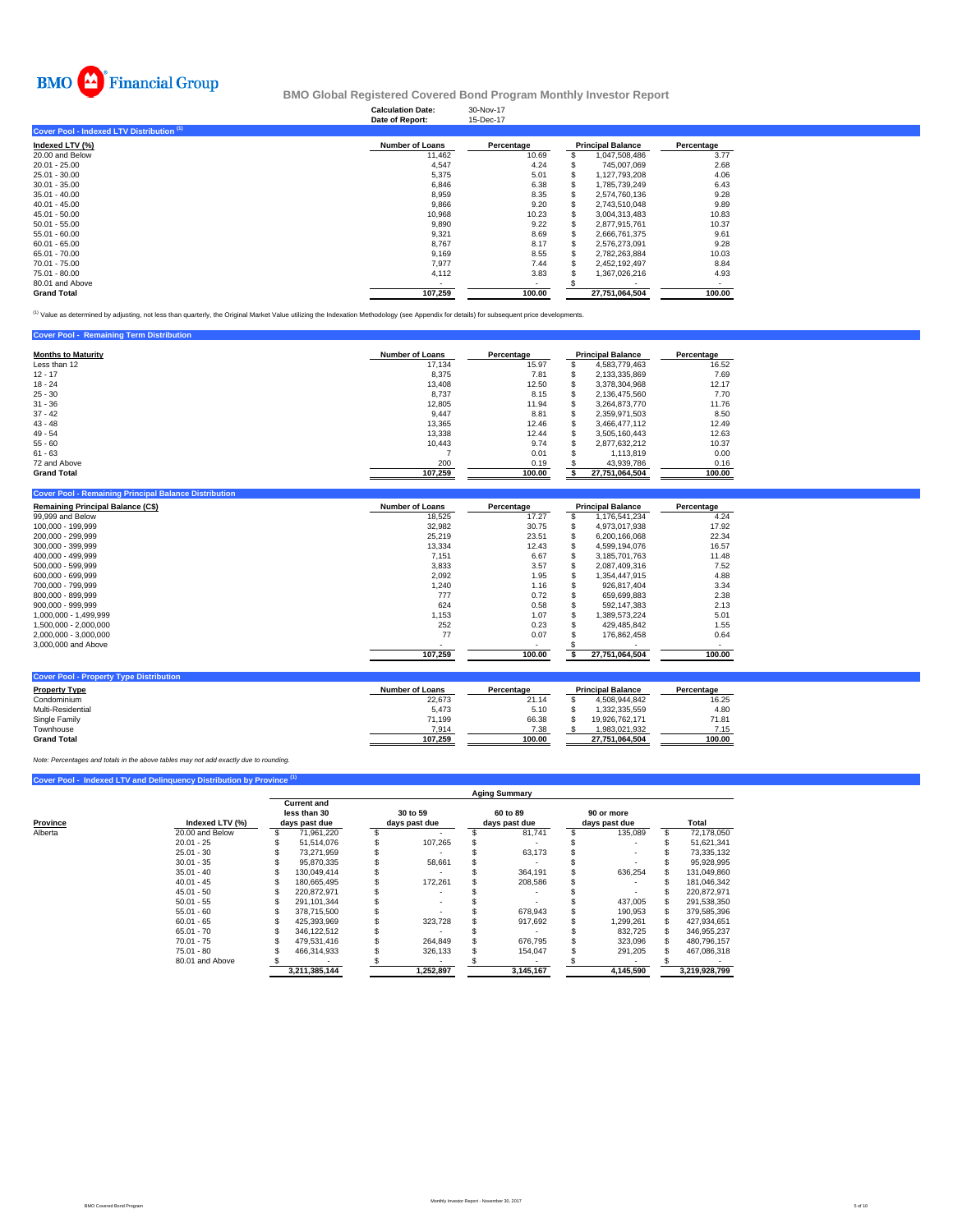

### **Calculation Date:** 30-Nov-17 **BMO Global Registered Covered Bond Program Monthly Investor Report**

|                                           | Date of Report:        | 15-Dec-17  |                          |            |
|-------------------------------------------|------------------------|------------|--------------------------|------------|
| Cover Pool - Indexed LTV Distribution (1) |                        |            |                          |            |
| Indexed LTV (%)                           | <b>Number of Loans</b> | Percentage | <b>Principal Balance</b> | Percentage |
| 20.00 and Below                           | 11,462                 | 10.69      | 1,047,508,486            | 3.77       |
| $20.01 - 25.00$                           | 4,547                  | 4.24       | 745.007.069              | 2.68       |
| 25.01 - 30.00                             | 5,375                  | 5.01       | 1,127,793,208            | 4.06       |
| $30.01 - 35.00$                           | 6,846                  | 6.38       | 1.785.739.249            | 6.43       |
| $35.01 - 40.00$                           | 8,959                  | 8.35       | 2.574.760.136            | 9.28       |
| $40.01 - 45.00$                           | 9,866                  | 9.20       | 2.743.510.048            | 9.89       |
| $45.01 - 50.00$                           | 10,968                 | 10.23      | 3,004,313,483            | 10.83      |
| $50.01 - 55.00$                           | 9,890                  | 9.22       | 2,877,915,761            | 10.37      |
| $55.01 - 60.00$                           | 9,321                  | 8.69       | 2.666.761.375            | 9.61       |
| $60.01 - 65.00$                           | 8,767                  | 8.17       | 2.576.273.091            | 9.28       |
| 65.01 - 70.00                             | 9,169                  | 8.55       | 2.782.263.884            | 10.03      |
| 70.01 - 75.00                             | 7,977                  | 7.44       | 2,452,192,497            | 8.84       |
| 75.01 - 80.00                             | 4,112                  | 3.83       | 1,367,026,216            | 4.93       |
| 80.01 and Above                           |                        |            |                          |            |
| <b>Grand Total</b>                        | 107,259                | 100.00     | 27.751.064.504           | 100.00     |

<sup>(1)</sup> Value as determined by adjusting, not less than quarterly, the Original Market Value utilizing the Indexation Methodology (see Appendix for details) for subsequent price developments.

| <b>Cover Pool - Remaining Term Distribution</b> |                        |            |                          |            |
|-------------------------------------------------|------------------------|------------|--------------------------|------------|
| <b>Months to Maturity</b>                       | <b>Number of Loans</b> | Percentage | <b>Principal Balance</b> | Percentage |
| Less than 12                                    | 17.134                 | 15.97      | 4.583.779.463            | 16.52      |
| $12 - 17$                                       | 8,375                  | 7.81       | 2,133,335,869            | 7.69       |
| $18 - 24$                                       | 13,408                 | 12.50      | 3.378.304.968            | 12.17      |
| $25 - 30$                                       | 8,737                  | 8.15       | 2.136.475.560            | 7.70       |
| $31 - 36$                                       | 12,805                 | 11.94      | 3.264.873.770            | 11.76      |
| $37 - 42$                                       | 9.447                  | 8.81       | 2.359.971.503            | 8.50       |
| $43 - 48$                                       | 13.365                 | 12.46      | 3.466.477.112            | 12.49      |
| $49 - 54$                                       | 13,338                 | 12.44      | 3.505.160.443            | 12.63      |
| $55 - 60$                                       | 10.443                 | 9.74       | 2.877.632.212            | 10.37      |
| $61 - 63$                                       |                        | 0.01       | 1.113.819                | 0.00       |
| 72 and Above                                    | 200                    | 0.19       | 43.939.786               | 0.16       |
| <b>Grand Total</b>                              | 107,259                | 100.00     | 27,751,064,504           | 100.00     |

| <b>Remaining Principal Balance (C\$)</b> | <b>Number of Loans</b> | Percentage | <b>Principal Balance</b> |                | Percentage |
|------------------------------------------|------------------------|------------|--------------------------|----------------|------------|
| 99,999 and Below                         | 18,525                 | 17.27      |                          | 1.176.541.234  | 4.24       |
| 100,000 - 199,999                        | 32,982                 | 30.75      |                          | 4,973,017,938  | 17.92      |
| 200,000 - 299,999                        | 25.219                 | 23.51      |                          | 6.200.166.068  | 22.34      |
| 300.000 - 399.999                        | 13.334                 | 12.43      |                          | 4.599.194.076  | 16.57      |
| 400.000 - 499.999                        | 7,151                  | 6.67       |                          | 3,185,701,763  | 11.48      |
| 500.000 - 599.999                        | 3,833                  | 3.57       |                          | 2,087,409,316  | 7.52       |
| 600.000 - 699.999                        | 2.092                  | 1.95       | ъ                        | 1.354.447.915  | 4.88       |
| 700.000 - 799.999                        | 1,240                  | 1.16       | ж                        | 926.817.404    | 3.34       |
| 800.000 - 899.999                        | 777                    | 0.72       |                          | 659.699.883    | 2.38       |
| $900.000 - 999.999$                      | 624                    | 0.58       |                          | 592.147.383    | 2.13       |
| 1.000.000 - 1.499.999                    | 1.153                  | 1.07       |                          | 1.389.573.224  | 5.01       |
| 1.500.000 - 2.000.000                    | 252                    | 0.23       |                          | 429.485.842    | 1.55       |
| 2,000,000 - 3,000,000                    | 77                     | 0.07       |                          | 176.862.458    | 0.64       |
| 3,000,000 and Above                      |                        |            |                          |                |            |
|                                          | 107,259                | 100.00     |                          | 27,751,064,504 | 100.00     |

| <b>Cover Pool - Property Type Distribution</b> |                        |            |                          |                |            |
|------------------------------------------------|------------------------|------------|--------------------------|----------------|------------|
| <b>Property Type</b>                           | <b>Number of Loans</b> | Percentage | <b>Principal Balance</b> |                | Percentage |
| Condominium                                    | 22,673                 | 21.14      |                          | 4.508.944.842  | 16.25      |
| Multi-Residential                              | 5.473                  | 5.10       |                          | 1.332.335.559  | 4.80       |
| Single Family                                  | 71.199                 | 66.38      |                          | 19.926.762.171 | 71.81      |
| Townhouse                                      | 7.914                  | 7.38       |                          | 1.983.021.932  | 7.15       |
| <b>Grand Total</b>                             | 107.259                | 100.00     |                          | 27.751.064.504 | 100.00     |

*Note: Percentages and totals in the above tables may not add exactly due to rounding.*

## **Cover Pool - Indexed LTV and Delinquency Distribution by Province**

|          |                 | <b>Aging Summary</b>                                |               |                           |           |  |                           |  |                             |  |               |  |  |  |
|----------|-----------------|-----------------------------------------------------|---------------|---------------------------|-----------|--|---------------------------|--|-----------------------------|--|---------------|--|--|--|
| Province | Indexed LTV (%) | <b>Current and</b><br>less than 30<br>days past due |               | 30 to 59<br>days past due |           |  | 60 to 89<br>days past due |  | 90 or more<br>days past due |  | Total         |  |  |  |
| Alberta  | 20.00 and Below |                                                     | 71.961.220    |                           |           |  | 81.741                    |  | 135.089                     |  | 72.178.050    |  |  |  |
|          | $20.01 - 25$    |                                                     | 51.514.076    |                           | 107.265   |  |                           |  |                             |  | 51,621,341    |  |  |  |
|          | $25.01 - 30$    |                                                     | 73.271.959    |                           |           |  | 63,173                    |  |                             |  | 73,335,132    |  |  |  |
|          | $30.01 - 35$    |                                                     | 95.870.335    |                           | 58.661    |  |                           |  |                             |  | 95.928.995    |  |  |  |
|          | $35.01 - 40$    |                                                     | 130.049.414   |                           |           |  | 364.191                   |  | 636.254                     |  | 131.049.860   |  |  |  |
|          | $40.01 - 45$    |                                                     | 180.665.495   |                           | 172.261   |  | 208,586                   |  |                             |  | 181.046.342   |  |  |  |
|          | $45.01 - 50$    |                                                     | 220.872.971   |                           |           |  |                           |  |                             |  | 220.872.971   |  |  |  |
|          | $50.01 - 55$    |                                                     | 291.101.344   |                           |           |  |                           |  | 437,005                     |  | 291,538,350   |  |  |  |
|          | $55.01 - 60$    |                                                     | 378.715.500   |                           |           |  | 678.943                   |  | 190,953                     |  | 379,585,396   |  |  |  |
|          | $60.01 - 65$    |                                                     | 425.393.969   |                           | 323.728   |  | 917.692                   |  | 1,299,261                   |  | 427.934.651   |  |  |  |
|          | $65.01 - 70$    |                                                     | 346,122,512   |                           |           |  |                           |  | 832,725                     |  | 346,955,237   |  |  |  |
|          | $70.01 - 75$    |                                                     | 479.531.416   |                           | 264.849   |  | 676.795                   |  | 323,096                     |  | 480.796.157   |  |  |  |
|          | $75.01 - 80$    |                                                     | 466.314.933   |                           | 326,133   |  | 154,047                   |  | 291,205                     |  | 467,086,318   |  |  |  |
|          | 80.01 and Above |                                                     |               |                           |           |  |                           |  |                             |  |               |  |  |  |
|          |                 |                                                     | 3.211.385.144 |                           | 1.252.897 |  | 3.145.167                 |  | 4.145.590                   |  | 3.219.928.799 |  |  |  |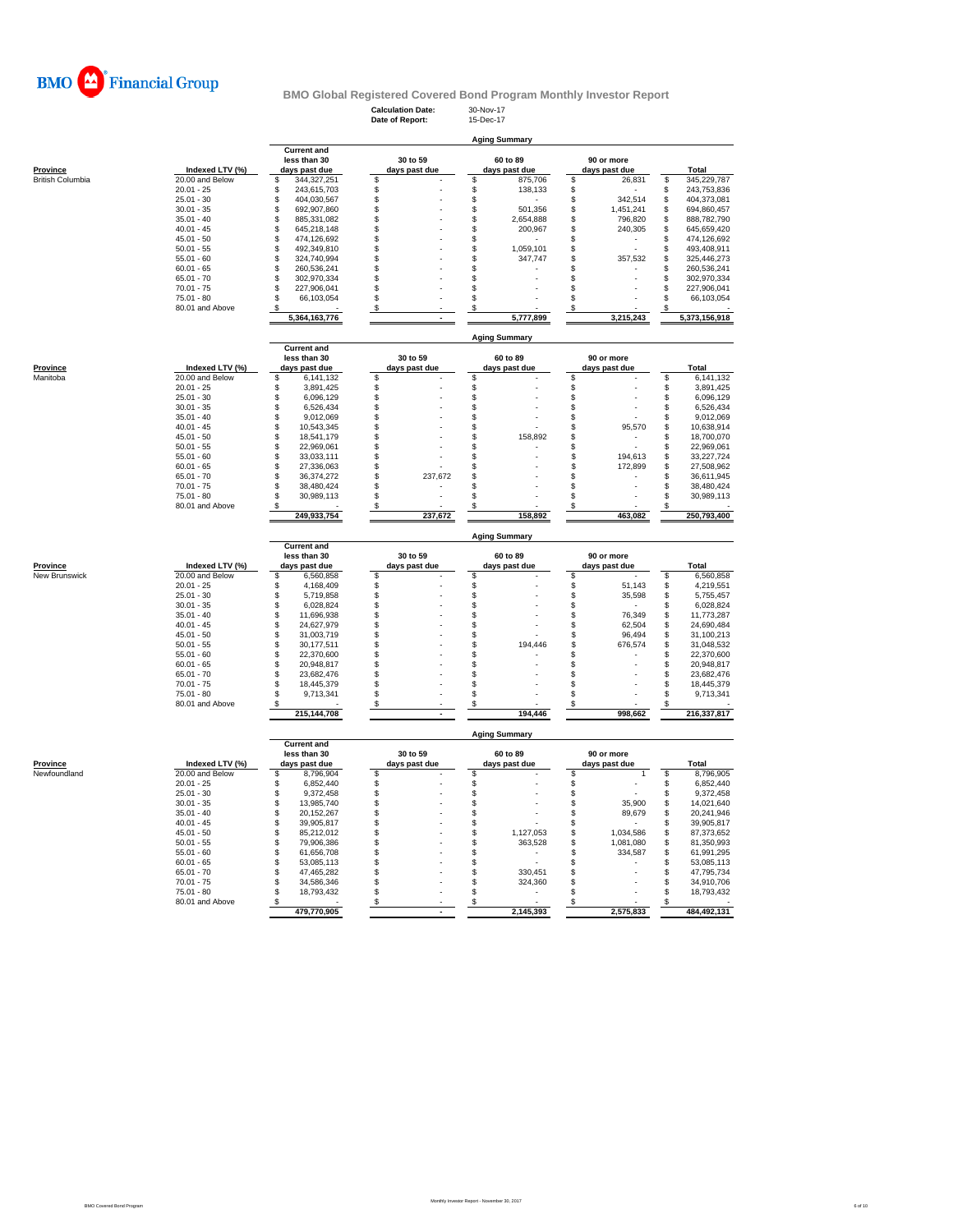

**Calculation Date:** 30-Nov-17 **Date of Report:** 15-Dec-17

**Aging Summary**

|                         |                 | <b>Current and</b>             |               |                      |                                |                                |
|-------------------------|-----------------|--------------------------------|---------------|----------------------|--------------------------------|--------------------------------|
|                         |                 | less than 30                   | 30 to 59      | 60 to 89             | 90 or more                     |                                |
| <b>Province</b>         | Indexed LTV (%) | days past due                  | days past due | days past due        | days past due                  | Total                          |
| <b>British Columbia</b> | 20.00 and Below | 344,327,251<br>\$              | \$            | \$<br>875,706        | \$<br>26,831                   | \$<br>345,229,787              |
|                         | $20.01 - 25$    | \$<br>243,615,703              | \$            | \$<br>138,133        | \$                             | \$<br>243,753,836              |
|                         | $25.01 - 30$    | 404,030,567<br>\$              | \$            | \$                   | \$<br>342,514                  | \$<br>404,373,081              |
|                         | $30.01 - 35$    | \$<br>692,907,860              | \$            | \$<br>501,356        | \$<br>1,451,241                | \$<br>694,860,457              |
|                         | $35.01 - 40$    | \$<br>885,331,082              | \$            | \$<br>2,654,888      | \$<br>796,820                  | \$<br>888,782,790              |
|                         | $40.01 - 45$    | \$<br>645,218,148              | \$            | \$<br>200,967        | \$<br>240,305                  | \$<br>645,659,420              |
|                         | $45.01 - 50$    | \$<br>474,126,692              | \$            | \$                   | \$                             | \$<br>474,126,692              |
|                         | $50.01 - 55$    | \$<br>492,349,810              | \$            | \$<br>1,059,101      | \$                             | \$<br>493,408,911              |
|                         | $55.01 - 60$    | \$<br>324,740,994              | \$            | \$<br>347,747        | \$<br>357,532                  | \$<br>325,446,273              |
|                         | $60.01 - 65$    | \$<br>260,536,241              | \$            | \$                   | \$                             | \$<br>260,536,241              |
|                         | $65.01 - 70$    | 302,970,334<br>\$              | \$            | \$                   | \$                             | \$<br>302,970,334              |
|                         | $70.01 - 75$    | \$<br>227,906,041              | \$            | \$                   | \$                             | \$<br>227,906,041              |
|                         | $75.01 - 80$    | \$<br>66,103,054               | S             | \$                   | S                              | \$<br>66,103,054               |
|                         | 80.01 and Above | S.                             | \$            | \$                   | S                              | S                              |
|                         |                 | 5,364,163,776                  |               | 5,777,899            | 3,215,243                      | 5,373,156,918                  |
|                         |                 |                                |               |                      |                                |                                |
|                         |                 |                                |               | <b>Aging Summary</b> |                                |                                |
|                         |                 | <b>Current and</b>             |               |                      |                                |                                |
|                         |                 | less than 30                   | 30 to 59      | 60 to 89             | 90 or more                     |                                |
| Province                | Indexed LTV (%) | days past due                  | days past due | days past due        | days past due                  | Total                          |
| Manitoba                | 20.00 and Below | \$<br>6,141,132                | \$            | \$                   | \$                             | \$<br>6,141,132                |
|                         | $20.01 - 25$    | 3,891,425<br>\$                | \$            | \$                   | \$                             | \$<br>3,891,425                |
|                         | $25.01 - 30$    | \$<br>6,096,129                | \$            | \$                   | \$                             | \$<br>6,096,129                |
|                         | $30.01 - 35$    | \$<br>6,526,434                | \$            | \$                   | \$                             | \$<br>6,526,434                |
|                         | $35.01 - 40$    | \$<br>9,012,069                | \$            | \$                   | \$                             | \$<br>9,012,069                |
|                         | $40.01 - 45$    | \$<br>10,543,345               | \$            | \$                   | \$<br>95,570                   | \$<br>10,638,914               |
|                         | $45.01 - 50$    | \$<br>18,541,179               | \$            | \$<br>158,892        | \$                             | \$<br>18,700,070               |
|                         | $50.01 - 55$    | \$<br>22,969,061               | \$            | \$                   | \$                             | 22,969,061<br>\$               |
|                         | $55.01 - 60$    |                                |               |                      |                                | \$                             |
|                         | $60.01 - 65$    | \$<br>33,033,111<br>\$         | \$<br>\$      | \$<br>\$             | \$<br>194,613<br>\$<br>172,899 | 33,227,724<br>Ś                |
|                         | $65.01 - 70$    | 27,336,063<br>\$<br>36,374,272 | \$<br>237.672 | \$                   | \$                             | 27,508,962<br>\$<br>36,611,945 |
|                         |                 |                                |               |                      |                                | \$                             |
|                         | $70.01 - 75$    | 38,480,424<br>\$               | \$            | \$                   | \$                             | 38,480,424<br>Ŝ                |
|                         | $75.01 - 80$    | \$<br>30,989,113               | \$            | \$                   | \$                             | 30,989,113                     |
|                         | 80.01 and Above | \$                             | \$            | \$                   |                                | \$                             |
|                         |                 |                                |               |                      | \$                             |                                |
|                         |                 | 249,933,754                    | 237,672       | 158,892              | 463,082                        | 250,793,400                    |
|                         |                 |                                |               |                      |                                |                                |
|                         |                 |                                |               | <b>Aging Summary</b> |                                |                                |
|                         |                 | <b>Current and</b>             |               |                      |                                |                                |
|                         |                 | less than 30                   | 30 to 59      | 60 to 89             | 90 or more                     |                                |
| <b>Province</b>         | Indexed LTV (%) | days past due                  | days past due | days past due        | days past due                  | <b>Total</b>                   |
| New Brunswick           | 20.00 and Below | \$<br>6,560,858                | \$            | \$                   | \$                             | \$<br>6,560,858                |
|                         | $20.01 - 25$    | \$<br>4,168,409                | \$            | \$                   | \$<br>51,143                   | \$<br>4,219,551                |
|                         | $25.01 - 30$    | \$<br>5,719,858                | \$            | \$                   | \$<br>35,598                   | \$<br>5,755,457                |
|                         | $30.01 - 35$    | \$<br>6,028,824                | \$            | \$                   | \$                             | \$<br>6,028,824                |
|                         | $35.01 - 40$    | \$<br>11,696,938               | \$            | \$                   | \$<br>76,349                   | \$<br>11,773,287               |
|                         | $40.01 - 45$    | \$<br>24,627,979               | S             | \$                   | \$<br>62,504                   | \$<br>24,690,484               |
|                         | $45.01 - 50$    | \$<br>31,003,719               | \$            | \$                   | \$<br>96,494                   | \$<br>31,100,213               |
|                         | $50.01 - 55$    | \$<br>30,177,511               | \$            | \$<br>194.446        | \$<br>676,574                  | \$<br>31,048,532               |
|                         | $55.01 - 60$    | \$<br>22,370,600               | \$            | \$                   | \$                             | \$<br>22,370,600               |
|                         | $60.01 - 65$    | \$<br>20,948,817               | \$            | \$                   | \$                             | \$<br>20,948,817               |
|                         | $65.01 - 70$    | \$<br>23,682,476               | \$            | \$                   | \$                             | \$<br>23,682,476               |
|                         | $70.01 - 75$    | \$<br>18,445,379               | \$            | \$                   | \$                             | \$<br>18,445,379               |
|                         | $75.01 - 80$    | \$<br>9,713,341                | \$            | \$                   | \$                             | \$<br>9,713,341                |
|                         | 80.01 and Above | S                              | \$            | \$                   | \$                             | \$                             |
|                         |                 | 215,144,708                    |               | 194,446              | 998,662                        | 216,337,817                    |
|                         |                 |                                |               |                      |                                |                                |
|                         |                 |                                |               | <b>Aging Summary</b> |                                |                                |
|                         |                 | <b>Current and</b>             |               |                      |                                |                                |
|                         |                 | less than 30                   | 30 to 59      | 60 to 89             | 90 or more                     |                                |
| <b>Province</b>         | Indexed LTV (%) | days past due                  | days past due | days past due        | days past due                  | Total                          |
| Newfoundland            | 20.00 and Below | \$<br>8,796,904                | \$            | \$                   | \$                             | 8,796,905<br>\$                |
|                         | $20.01 - 25$    | \$<br>6,852,440                | \$            | \$                   | \$                             | \$<br>6,852,440                |
|                         | $25.01 - 30$    | \$<br>9,372,458                | \$            | \$                   | \$                             | \$<br>9,372,458                |
|                         | $30.01 - 35$    | \$<br>13,985,740               | \$            | \$                   | \$<br>35,900                   | \$<br>14,021,640               |
|                         | $35.01 - 40$    | \$<br>20.152.267               | \$            | \$                   | \$<br>89,679                   | \$<br>20,241,946               |
|                         | $40.01 - 45$    | \$<br>39,905,817               | \$            | \$                   | \$                             | \$<br>39,905,817               |
|                         | $45.01 - 50$    | \$<br>85,212,012               | \$            | \$<br>1,127,053      | \$<br>1,034,586                | \$<br>87,373,652               |
|                         | $50.01 - 55$    | \$<br>79,906,386               | \$            | \$<br>363,528        | \$<br>1,081,080                | \$<br>81,350,993               |
|                         | $55.01 - 60$    | \$<br>61,656,708               | \$            | \$<br>٠              | \$<br>334,587                  | \$<br>61,991,295               |
|                         | $60.01 - 65$    | \$<br>53,085,113               | \$            | \$                   | \$                             | \$<br>53,085,113               |
|                         | $65.01 - 70$    | \$<br>47,465,282               | \$            | \$<br>330,451        | \$                             | \$<br>47,795,734               |
|                         | $70.01 - 75$    | 34,586,346<br>\$               | \$            | S<br>324,360         | \$                             | \$<br>34,910,706               |
|                         | 75.01 - 80      | 18,793,432<br>\$               | \$            | \$                   | \$                             | \$<br>18,793,432               |
|                         | 80.01 and Above | \$<br>479,770,905              | \$            | \$<br>2,145,393      | \$<br>2,575,833                | \$<br>484,492,131              |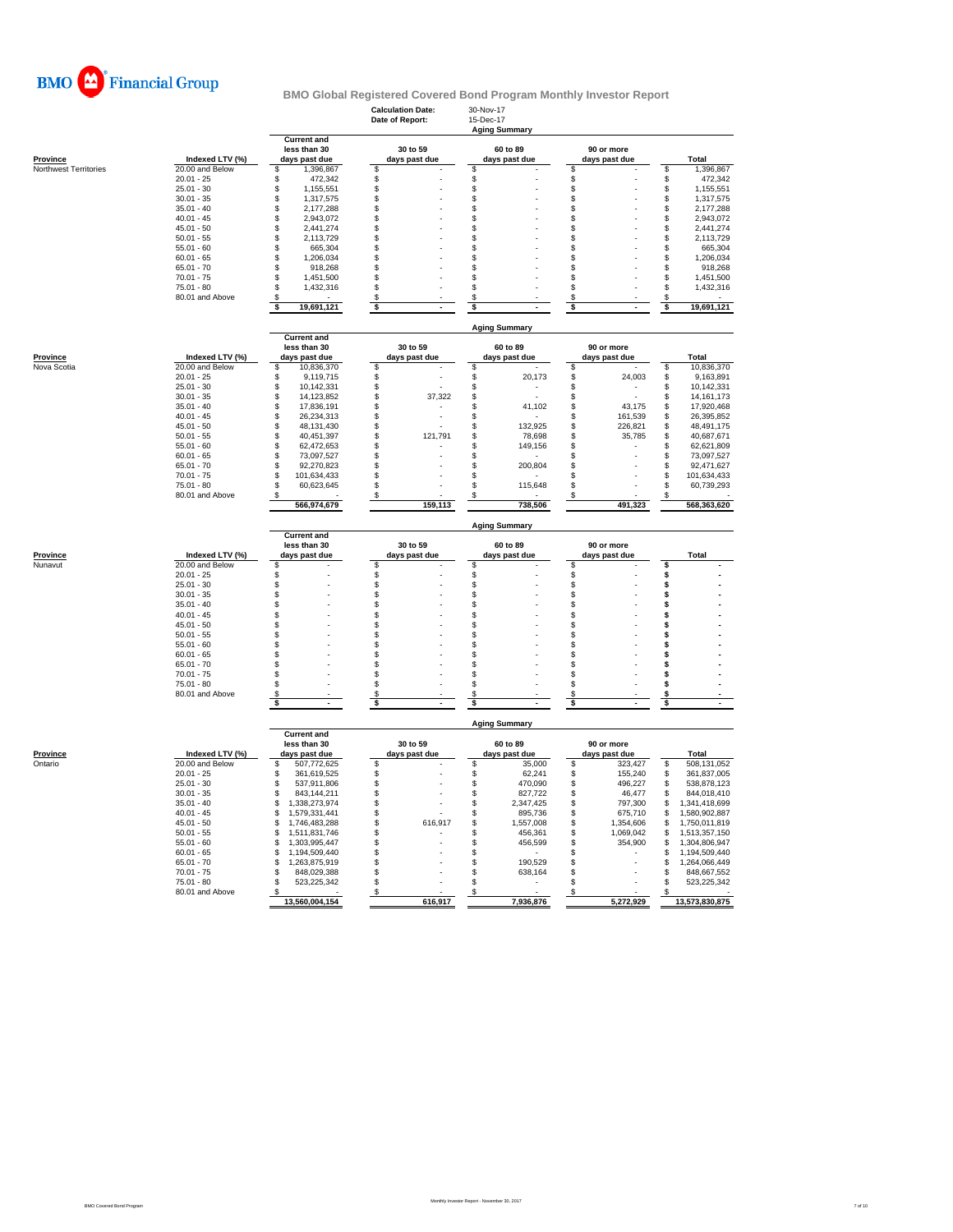

|                       |                                 |                                        | <b>Calculation Date:</b><br>Date of Report: | 30-Nov-17<br>15-Dec-17<br><b>Aging Summary</b> |                                |                                        |
|-----------------------|---------------------------------|----------------------------------------|---------------------------------------------|------------------------------------------------|--------------------------------|----------------------------------------|
|                       |                                 | <b>Current and</b><br>less than 30     | 30 to 59                                    | 60 to 89                                       | 90 or more                     |                                        |
| Province              | Indexed LTV (%)                 | days past due                          | days past due                               | days past due                                  | days past due                  | Total                                  |
| Northwest Territories | 20.00 and Below<br>$20.01 - 25$ | 1,396,867<br>\$<br>\$                  | \$<br>\$                                    | \$<br>\$                                       | \$<br>\$                       | \$<br>1,396,867                        |
|                       | $25.01 - 30$                    | 472,342<br>\$<br>1,155,551             | $\mathbb{S}$                                | \$                                             | \$                             | \$<br>472,342<br>\$<br>1,155,551       |
|                       | $30.01 - 35$                    | \$<br>1,317,575                        | \$                                          | \$                                             | \$                             | \$<br>1,317,575                        |
|                       | $35.01 - 40$                    | \$<br>2,177,288                        | \$                                          | \$                                             | \$                             | \$<br>2,177,288                        |
|                       | $40.01 - 45$                    | \$<br>2,943,072                        | \$                                          | \$                                             | \$                             | \$<br>2,943,072                        |
|                       | $45.01 - 50$                    | \$<br>2,441,274                        | \$                                          | \$                                             | S                              | \$<br>2,441,274                        |
|                       | $50.01 - 55$                    | \$<br>2,113,729                        | \$                                          | \$                                             | \$                             | \$<br>2,113,729                        |
|                       | $55.01 - 60$                    | \$<br>665,304                          | \$                                          | \$                                             | \$                             | \$<br>665,304                          |
|                       | $60.01 - 65$                    | \$<br>1.206.034                        | \$                                          | \$                                             | \$                             | \$<br>1,206,034                        |
|                       | $65.01 - 70$                    | \$<br>918,268                          | \$                                          | \$                                             | \$                             | \$<br>918,268                          |
|                       | $70.01 - 75$                    | \$<br>1,451,500                        | \$                                          | \$                                             | \$                             | \$<br>1,451,500                        |
|                       | $75.01 - 80$                    | \$<br>1,432,316                        | \$                                          | \$                                             | \$                             | \$<br>1,432,316                        |
|                       | 80.01 and Above                 | \$                                     | \$                                          | \$                                             | \$                             | \$                                     |
|                       |                                 | \$<br>19,691,121                       | \$                                          | \$                                             | \$                             | \$<br>19,691,121                       |
|                       |                                 | <b>Current and</b>                     |                                             | <b>Aging Summary</b>                           |                                |                                        |
|                       |                                 | less than 30                           | 30 to 59                                    | 60 to 89                                       | 90 or more                     |                                        |
| <b>Province</b>       | Indexed LTV (%)                 | days past due                          | days past due                               | days past due                                  | days past due                  | Total                                  |
| Nova Scotia           | 20.00 and Below                 | 10,836,370<br>\$                       | \$                                          | \$                                             | \$                             | 10,836,370<br>\$                       |
|                       | $20.01 - 25$                    | \$<br>9.119.715                        | \$                                          | \$<br>20,173                                   | \$<br>24,003                   | \$<br>9,163,891                        |
|                       | $25.01 - 30$                    | \$<br>10,142,331                       | \$                                          | \$                                             | \$                             | \$<br>10,142,331                       |
|                       | $30.01 - 35$                    | \$<br>14,123,852                       | \$<br>37,322                                | \$                                             | \$<br>÷                        | \$<br>14, 161, 173                     |
|                       | $35.01 - 40$                    | \$<br>17,836,191                       | \$                                          | \$<br>41,102                                   | \$<br>43,175                   | \$<br>17,920,468                       |
|                       | $40.01 - 45$                    | \$<br>26,234,313                       | \$                                          | \$                                             | \$<br>161,539                  | \$<br>26,395,852                       |
|                       | $45.01 - 50$                    | \$<br>48,131,430                       | \$                                          | \$<br>132,925                                  | \$<br>226,821                  | \$<br>48,491,175                       |
|                       | $50.01 - 55$                    | \$<br>40,451,397                       | \$<br>121,791                               | \$<br>78,698                                   | \$<br>35,785                   | \$<br>40,687,671                       |
|                       | $55.01 - 60$                    | \$<br>62,472,653                       | \$                                          | \$<br>149,156                                  | \$                             | \$<br>62,621,809                       |
|                       | $60.01 - 65$                    | \$<br>73.097.527                       | $\mathfrak{L}$                              | \$                                             | \$                             | \$<br>73.097.527                       |
|                       | $65.01 - 70$                    | \$<br>92,270,823                       | \$                                          | S<br>200,804                                   | \$                             | \$<br>92,471,627                       |
|                       | $70.01 - 75$                    | \$<br>101,634,433                      | \$                                          | \$                                             | \$                             | \$<br>101,634,433                      |
|                       | $75.01 - 80$                    | \$<br>60,623,645                       | \$                                          | S<br>115,648                                   | \$                             | \$<br>60,739,293                       |
|                       | 80.01 and Above                 | 566,974,679                            | S<br>159,113                                | 738,506                                        | 491,323                        | 568,363,620                            |
|                       |                                 |                                        |                                             |                                                |                                |                                        |
|                       |                                 |                                        |                                             | <b>Aging Summary</b>                           |                                |                                        |
|                       |                                 | <b>Current and</b><br>less than 30     | 30 to 59                                    | 60 to 89                                       | 90 or more                     |                                        |
| Province              | Indexed LTV (%)                 | days past due                          | days past due                               | days past due                                  | days past due                  | <b>Total</b>                           |
| Nunavut               | 20.00 and Below<br>$20.01 - 25$ | \$<br>\$                               | \$                                          | \$                                             | \$                             | \$                                     |
|                       | $25.01 - 30$                    | \$                                     | \$<br>\$                                    | \$<br>\$                                       | \$<br>\$                       | $\ddot{\$}$<br>\$                      |
|                       | $30.01 - 35$                    | \$                                     | \$                                          | \$                                             | \$                             | \$                                     |
|                       | $35.01 - 40$                    | \$                                     | \$                                          | \$                                             | \$                             | \$                                     |
|                       | $40.01 - 45$                    | \$                                     | \$                                          | \$                                             | \$                             | \$                                     |
|                       | $45.01 - 50$                    | \$                                     | \$                                          | \$                                             | \$                             | \$                                     |
|                       | $50.01 - 55$                    | \$                                     | \$                                          | \$                                             | \$                             | \$                                     |
|                       | $55.01 - 60$                    | \$                                     | \$                                          | \$                                             | \$                             | \$                                     |
|                       | $60.01 - 65$                    | \$                                     | \$                                          | \$                                             | \$                             | \$                                     |
|                       | $65.01 - 70$                    | \$                                     | \$                                          | \$                                             | \$                             | \$                                     |
|                       | $70.01 - 75$                    | \$                                     | \$                                          | \$                                             | \$                             | s                                      |
|                       | $75.01 - 80$                    | \$                                     | \$                                          | \$                                             | \$                             | \$                                     |
|                       | 80.01 and Above                 | S                                      | S                                           | S                                              | S                              | s                                      |
|                       |                                 | \$                                     | \$                                          | \$                                             | \$                             | \$                                     |
|                       |                                 |                                        |                                             | <b>Aging Summary</b>                           |                                |                                        |
|                       |                                 | <b>Current and</b>                     |                                             |                                                |                                |                                        |
|                       |                                 | less than 30                           | 30 to 59                                    | 60 to 89                                       | 90 or more                     |                                        |
| <b>Province</b>       | Indexed LTV (%)                 | days past due                          | days past due                               | days past due                                  | days past due                  | <b>Total</b>                           |
| Ontario               | 20.00 and Below<br>$20.01 - 25$ | \$<br>507,772,625<br>361,619,525<br>£. | \$                                          | \$<br>35,000<br>62,241                         | \$<br>323,427<br>155,240<br>\$ | \$<br>508,131,052<br>\$<br>361,837,005 |
|                       | $25.01 - 30$                    | 537,911,806<br>\$                      | \$<br>\$                                    | \$<br>\$<br>470,090                            | \$<br>496,227                  | \$<br>538,878,123                      |
|                       | $30.01 - 35$                    | \$<br>843,144,211                      | $\mathsf{\$}$                               | \$<br>827,722                                  | \$<br>46,477                   | \$<br>844,018,410                      |
|                       | $35.01 - 40$                    | \$<br>1,338,273,974                    | \$                                          | \$<br>2,347,425                                | \$<br>797,300                  | \$<br>1,341,418,699                    |
|                       | $40.01 - 45$                    | \$<br>1,579,331,441                    | \$                                          | \$<br>895,736                                  | \$<br>675,710                  | \$<br>1,580,902,887                    |
|                       | $45.01 - 50$                    | \$<br>1,746,483,288                    | 616.917<br>\$                               | \$<br>1,557,008                                | \$<br>1,354,606                | \$<br>1,750,011,819                    |
|                       | $50.01 - 55$                    | 1,511,831,746<br>\$                    | \$                                          | \$<br>456,361                                  | \$<br>1,069,042                | \$<br>1,513,357,150                    |
|                       | $55.01 - 60$                    | \$<br>1,303,995,447                    | \$                                          | \$<br>456,599                                  | \$<br>354,900                  | \$<br>1,304,806,947                    |
|                       | $60.01 - 65$                    | \$<br>1,194,509,440                    | \$                                          | \$                                             | \$                             | \$<br>1,194,509,440                    |
|                       | $65.01 - 70$                    | \$<br>1,263,875,919                    | \$                                          | \$<br>190,529                                  | \$                             | \$<br>1,264,066,449                    |
|                       | $70.01 - 75$                    | 848,029,388<br>£.                      | \$                                          | \$<br>638,164                                  | \$                             | \$<br>848,667,552                      |
|                       | $75.01 - 80$                    | 523,225,342<br>S                       | \$                                          | \$                                             | \$                             | \$<br>523,225,342                      |
|                       | 80.01 and Above                 | S<br>13,560,004,154                    | S<br>616,917                                | 7,936,876                                      | S<br>5,272,929                 | S<br>13,573,830,875                    |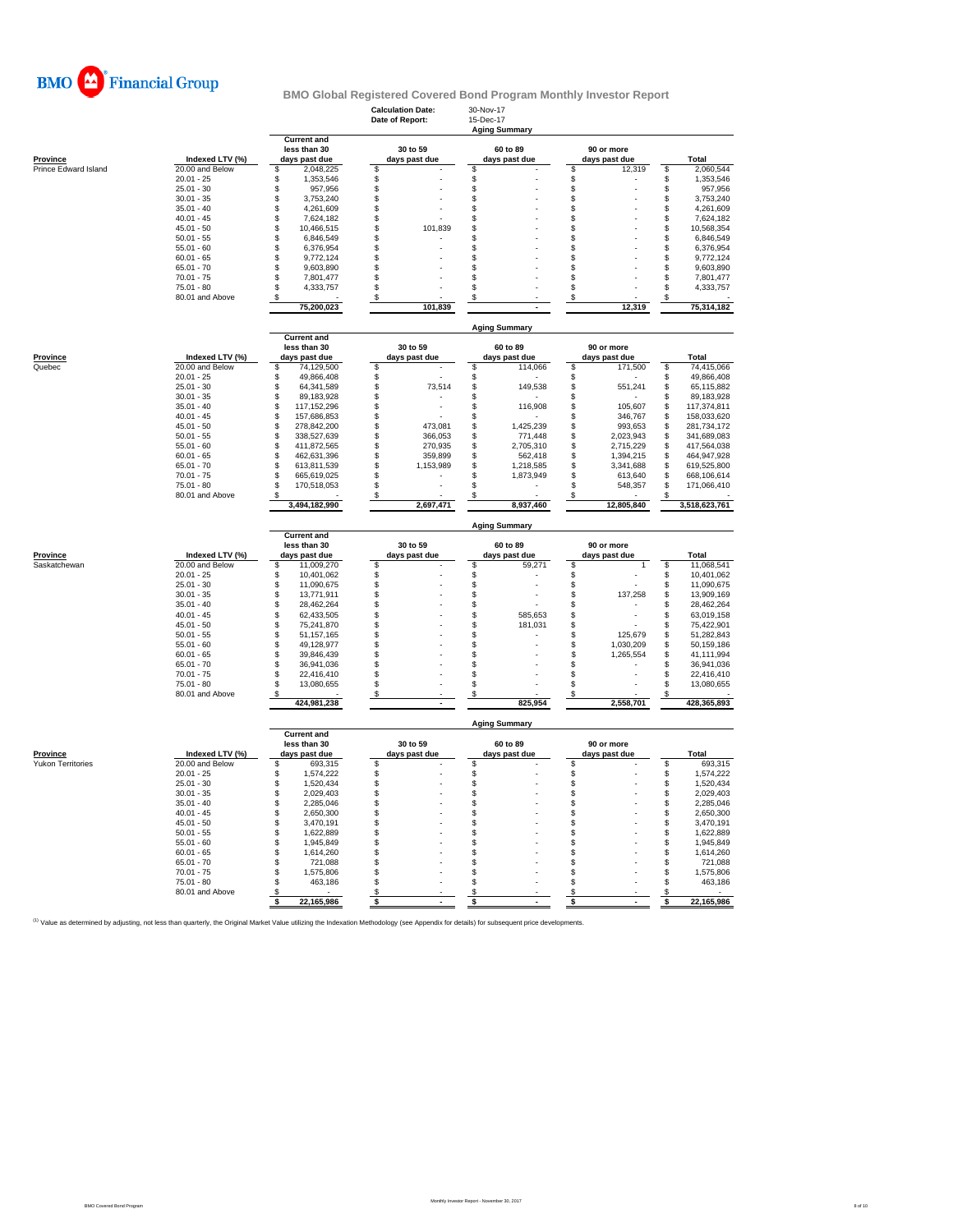

|                                      |                                    |                                                     | <b>Calculation Date:</b><br>Date of Report: | 30-Nov-17<br>15-Dec-17<br><b>Aging Summary</b> |                             |                                       |
|--------------------------------------|------------------------------------|-----------------------------------------------------|---------------------------------------------|------------------------------------------------|-----------------------------|---------------------------------------|
| Province                             | Indexed LTV (%)                    | <b>Current and</b><br>less than 30<br>days past due | 30 to 59<br>days past due                   | 60 to 89<br>days past due                      | 90 or more<br>days past due | Total                                 |
| Prince Edward Island                 | 20.00 and Below                    | \$<br>2,048,225                                     | \$                                          | \$                                             | \$<br>12,319                | 2,060,544<br>\$                       |
|                                      | $20.01 - 25$                       | \$<br>1,353,546                                     | \$                                          | \$                                             | \$                          | \$<br>1,353,546                       |
|                                      | $25.01 - 30$                       | \$<br>957,956                                       | $\mathsf{\$}$                               | \$                                             | \$                          | \$<br>957,956                         |
|                                      | $30.01 - 35$                       | $\mathsf{\$}$<br>3,753,240                          | \$                                          | \$                                             | \$                          | \$<br>3,753,240                       |
|                                      | $35.01 - 40$                       | \$<br>4,261,609                                     | \$                                          | \$                                             | \$                          | \$<br>4,261,609                       |
|                                      | $40.01 - 45$                       | \$<br>7,624,182                                     | \$.                                         | \$                                             | \$                          | \$<br>7,624,182                       |
|                                      | $45.01 - 50$                       | \$<br>10,466,515                                    | 101,839<br>\$                               | \$                                             | \$                          | \$<br>10,568,354                      |
|                                      | $50.01 - 55$                       | \$<br>6,846,549                                     | S                                           | \$                                             | \$                          | \$<br>6,846,549                       |
|                                      | $55.01 - 60$                       | \$<br>6,376,954                                     | \$                                          | \$                                             | \$                          | \$<br>6,376,954                       |
|                                      | $60.01 - 65$                       | \$<br>9,772,124                                     | \$                                          | \$                                             | \$                          | \$<br>9,772,124                       |
|                                      | $65.01 - 70$                       | \$<br>9,603,890                                     | \$                                          | \$                                             | \$<br>$\mathfrak{S}$        | \$<br>9,603,890                       |
|                                      | $70.01 - 75$<br>$75.01 - 80$       | \$<br>7,801,477<br>4,333,757                        | \$                                          | \$                                             |                             | \$<br>7,801,477<br>4,333,757          |
|                                      | 80.01 and Above                    | \$                                                  | \$                                          | \$<br>\$                                       | \$                          | \$<br>\$                              |
|                                      |                                    | \$<br>75,200,023                                    | \$<br>101,839                               |                                                | \$<br>12,319                | 75,314,182                            |
|                                      |                                    |                                                     |                                             | <b>Aging Summary</b>                           |                             |                                       |
|                                      |                                    | <b>Current and</b><br>less than 30                  | 30 to 59                                    | 60 to 89                                       | 90 or more                  |                                       |
| <b>Province</b>                      | Indexed LTV (%)                    | days past due                                       | days past due                               | days past due                                  | days past due               | <b>Total</b>                          |
| Quebec                               | 20.00 and Below                    | \$<br>74,129,500                                    | \$                                          | \$<br>114,066                                  | \$<br>171,500               | \$<br>74,415,066                      |
|                                      | $20.01 - 25$                       | \$<br>49.866.408                                    | \$                                          | \$                                             | \$                          | \$<br>49,866,408                      |
|                                      | $25.01 - 30$                       | \$<br>64,341,589                                    | \$<br>73,514                                | \$<br>149,538                                  | \$<br>551,241               | \$<br>65,115,882                      |
|                                      | $30.01 - 35$                       | 89,183,928<br>\$                                    | \$                                          | \$                                             | $\mathfrak{L}$              | \$<br>89,183,928                      |
|                                      | $35.01 - 40$                       | 117,152,296<br>\$                                   | \$                                          | \$<br>116,908                                  | 105,607<br>\$               | \$<br>117,374,811                     |
|                                      | $40.01 - 45$                       | \$<br>157,686,853                                   | \$                                          | \$                                             | \$<br>346,767               | \$<br>158,033,620                     |
|                                      | $45.01 - 50$                       | \$<br>278,842,200                                   | \$<br>473,081                               | \$<br>1,425,239                                | \$<br>993,653               | \$<br>281,734,172                     |
|                                      | $50.01 - 55$                       | \$<br>338,527,639                                   | \$<br>366,053                               | \$<br>771,448                                  | $\mathsf{\$}$<br>2,023,943  | \$<br>341,689,083                     |
|                                      | $55.01 - 60$                       | \$<br>411,872,565                                   | \$<br>270,935                               | \$<br>2,705,310                                | \$<br>2,715,229             | \$<br>417,564,038                     |
|                                      | $60.01 - 65$                       | \$<br>462,631,396                                   | \$<br>359,899                               | \$<br>562,418                                  | \$<br>1,394,215             | 464,947,928<br>\$                     |
|                                      | $65.01 - 70$                       | \$<br>613,811,539                                   | \$<br>1,153,989                             | S<br>1,218,585                                 | \$<br>3,341,688             | \$<br>619,525,800                     |
|                                      | $70.01 - 75$                       | \$<br>665,619,025                                   | \$                                          | \$<br>1,873,949                                | \$<br>613,640               | \$<br>668,106,614                     |
|                                      | $75.01 - 80$                       | \$<br>170,518,053                                   | \$                                          | \$                                             | £.<br>548,357               | \$<br>171,066,410                     |
|                                      | 80.01 and Above                    | S<br>3,494,182,990                                  | \$<br>2,697,471                             | \$<br>8,937,460                                | \$<br>12,805,840            | \$<br>3,518,623,761                   |
|                                      |                                    |                                                     |                                             | <b>Aging Summary</b>                           |                             |                                       |
|                                      |                                    | <b>Current and</b>                                  |                                             |                                                |                             |                                       |
|                                      |                                    | less than 30                                        | 30 to 59                                    | 60 to 89                                       | 90 or more                  | Total                                 |
| Province<br>Saskatchewan             | Indexed LTV (%)<br>20.00 and Below | days past due<br>\$<br>11,009,270                   | days past due<br>\$                         | days past due<br>\$<br>59,271                  | days past due<br>\$         | 11,068,541<br>\$                      |
|                                      | $20.01 - 25$                       | \$<br>10,401,062                                    | \$                                          | \$                                             | \$                          | 10,401,062<br>\$                      |
|                                      | $25.01 - 30$                       | \$<br>11,090,675                                    | \$                                          | \$                                             | \$                          | 11,090,675<br>\$                      |
|                                      | $30.01 - 35$                       | \$<br>13,771,911                                    | \$                                          | \$                                             | \$<br>137,258               | \$<br>13,909,169                      |
|                                      | $35.01 - 40$                       | \$<br>28,462,264                                    | \$                                          | \$                                             | \$                          | \$<br>28,462,264                      |
|                                      | $40.01 - 45$                       | \$<br>62,433,505                                    | \$                                          | \$<br>585,653                                  | \$                          | \$<br>63,019,158                      |
|                                      | $45.01 - 50$                       | \$<br>75,241,870                                    | \$                                          | \$<br>181,031                                  | \$                          | \$<br>75,422,901                      |
|                                      | $50.01 - 55$                       | \$<br>51,157,165                                    | S                                           | \$                                             | 125,679<br>\$               | 51,282,843<br>\$                      |
|                                      | $55.01 - 60$                       | \$<br>49.128.977                                    | \$                                          | \$                                             | \$<br>1,030,209             | 50.159.186<br>\$                      |
|                                      | $60.01 - 65$                       | \$<br>39,846,439                                    | \$                                          | \$                                             | \$<br>1,265,554             | \$<br>41,111,994                      |
|                                      | $65.01 - 70$                       | \$<br>36,941,036                                    | \$                                          | \$                                             | \$                          | \$<br>36,941,036                      |
|                                      | $70.01 - 75$                       | \$<br>22,416,410                                    | \$                                          | \$                                             | \$                          | \$<br>22,416,410                      |
|                                      | $75.01 - 80$                       | \$<br>13,080,655                                    | \$                                          | \$                                             | \$                          | \$<br>13,080,655                      |
|                                      |                                    |                                                     |                                             |                                                |                             |                                       |
|                                      | 80.01 and Above                    | S<br>424,981,238                                    | \$                                          | \$<br>825,954                                  | \$<br>2,558,701             | \$<br>428,365,893                     |
|                                      |                                    |                                                     |                                             |                                                |                             |                                       |
|                                      |                                    | <b>Current and</b>                                  |                                             | <b>Aging Summary</b>                           |                             |                                       |
|                                      |                                    | less than 30                                        | 30 to 59                                    | 60 to 89                                       | 90 or more                  |                                       |
| Province<br><b>Yukon Territories</b> | Indexed LTV (%)<br>20.00 and Below | days past due<br>\$                                 | days past due<br>\$                         | days past due<br>\$                            | days past due<br>\$         | Total<br>693,315<br>\$                |
|                                      |                                    | 693,315                                             |                                             |                                                |                             |                                       |
|                                      | $20.01 - 25$<br>$25.01 - 30$       | \$<br>1,574,222<br>1,520,434                        | \$<br>\$                                    | \$                                             | \$                          | 1,574,222<br>\$<br>1,520,434          |
|                                      | $30.01 - 35$                       | \$<br>$\mathsf{\$}$<br>2,029,403                    | \$                                          | \$<br>\$                                       | \$<br>\$                    | \$<br>\$<br>2,029,403                 |
|                                      | $35.01 - 40$                       | \$<br>2,285,046                                     | \$                                          | \$                                             | \$                          | \$<br>2,285,046                       |
|                                      | $40.01 - 45$                       | \$<br>2,650,300                                     | \$.                                         | \$                                             | \$                          | \$<br>2,650,300                       |
|                                      | $45.01 - 50$                       | \$<br>3,470,191                                     | \$                                          | \$                                             | \$                          | \$<br>3,470,191                       |
|                                      | $50.01 - 55$                       | \$<br>1,622,889                                     | \$                                          | \$                                             | \$                          | \$<br>1,622,889                       |
|                                      | $55.01 - 60$                       | \$<br>1,945,849                                     | \$                                          | \$                                             | \$                          | \$<br>1,945,849                       |
|                                      | $60.01 - 65$                       | \$<br>1,614,260                                     | \$                                          | \$                                             | \$                          | \$<br>1,614,260                       |
|                                      | $65.01 - 70$                       | \$<br>721,088                                       | \$                                          | \$                                             | \$                          | \$<br>721,088                         |
|                                      | $70.01 - 75$                       | \$<br>1,575,806                                     | S                                           | \$                                             | \$                          | \$<br>1,575,806                       |
|                                      | $75.01 - 80$                       | 463,186<br>\$                                       | \$                                          | \$                                             | \$                          | 463,186<br>\$                         |
|                                      | 80.01 and Above                    | ऽ<br>22,165,986                                     | $\overline{\mathbf{s}}$                     | $\overline{\mathbf{s}}$                        | \$                          | $\overline{\mathbf{s}}$<br>22,165,986 |

<sup>(1)</sup> Value as determined by adjusting, not less than quarterly, the Original Market Value utilizing the Indexation Methodology (see Appendix for details) for subsequent price developments.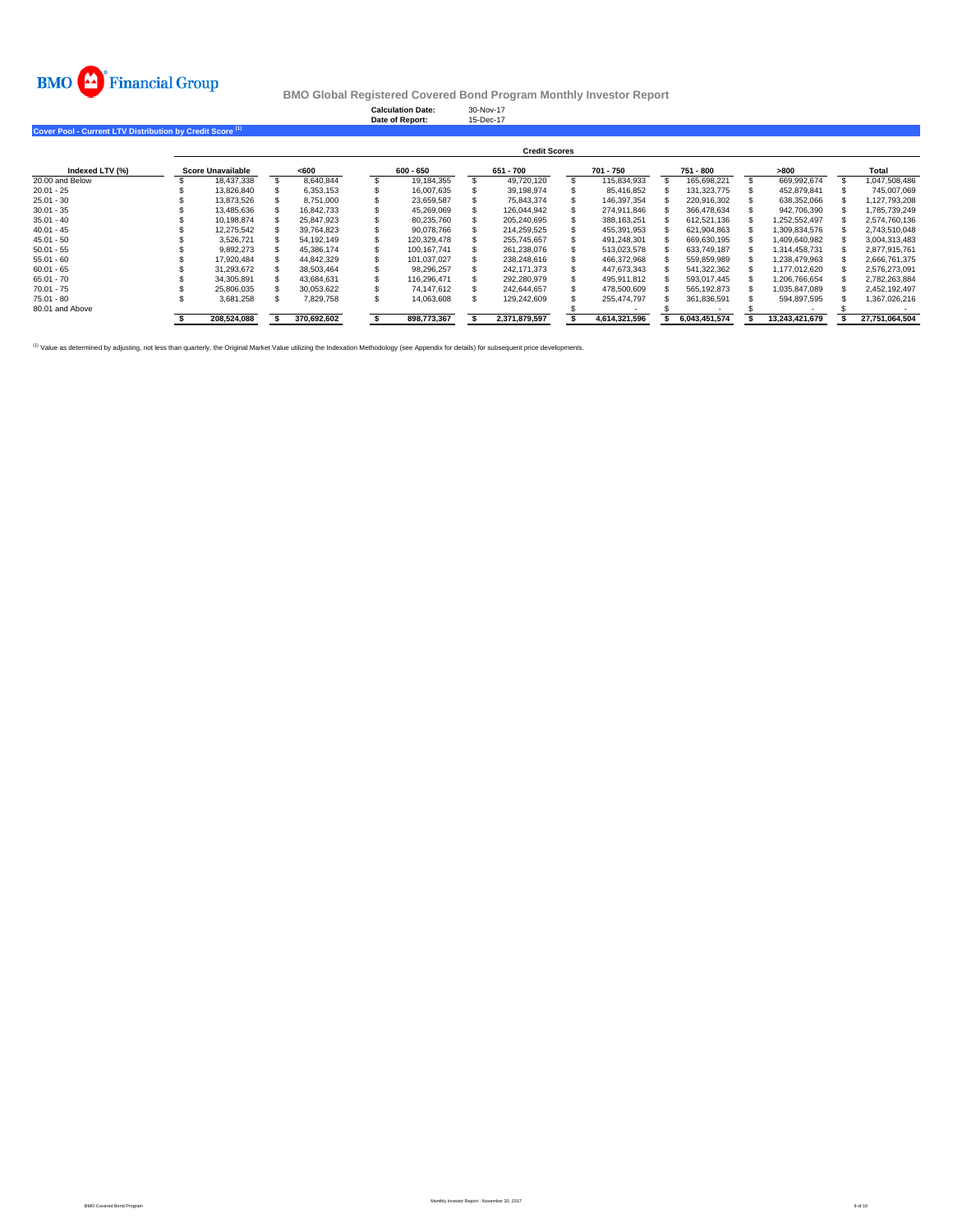

**Calculation Date:** 30-Nov-17 **Date of Report:** 15-Dec-17

**Cover Pool - Current LTV Distribution by Credit Score (1)**

|                 | <b>Credit Scores</b> |                   |  |             |  |             |  |               |  |               |  |               |  |                |  |                |
|-----------------|----------------------|-------------------|--|-------------|--|-------------|--|---------------|--|---------------|--|---------------|--|----------------|--|----------------|
| Indexed LTV (%) |                      | Score Unavailable |  | <600        |  | 600 - 650   |  | 651 - 700     |  | 701 - 750     |  | 751 - 800     |  | >800           |  | Total          |
| 20.00 and Below |                      | 18.437.338        |  | 8.640.844   |  | 19.184.355  |  | 49.720.120    |  | 115.834.933   |  | 165.698.221   |  | 669.992.674    |  | 1.047.508.486  |
| $20.01 - 25$    |                      | 13.826.840        |  | 6.353.153   |  | 16.007.635  |  | 39.198.974    |  | 85.416.852    |  | 131.323.775   |  | 452.879.841    |  | 745.007.069    |
| $25.01 - 30$    |                      | 13.873.526        |  | 8.751.000   |  | 23.659.587  |  | 75.843.374    |  | 146.397.354   |  | 220.916.302   |  | 638.352.066    |  | 1.127.793.208  |
| $30.01 - 35$    |                      | 13,485,636        |  | 16.842.733  |  | 45,269,069  |  | 126,044,942   |  | 274.911.846   |  | 366.478.634   |  | 942,706,390    |  | 1,785,739,249  |
| $35.01 - 40$    |                      | 10.198.874        |  | 25.847.923  |  | 80.235.760  |  | 205.240.695   |  | 388.163.251   |  | 612.521.136   |  | 1.252.552.497  |  | 2.574.760.136  |
| $40.01 - 45$    |                      | 12.275.542        |  | 39.764.823  |  | 90.078.766  |  | 214.259.525   |  | 455.391.953   |  | 621.904.863   |  | 1.309.834.576  |  | 2.743.510.048  |
| $45.01 - 50$    |                      | 3.526.721         |  | 54.192.149  |  | 120.329.478 |  | 255.745.657   |  | 491.248.301   |  | 669.630.195   |  | 1.409.640.982  |  | 3.004.313.483  |
| $50.01 - 55$    |                      | 9.892.273         |  | 45.386.174  |  | 100.167.741 |  | 261.238.076   |  | 513.023.578   |  | 633.749.187   |  | 1.314.458.731  |  | 2.877.915.761  |
| $55.01 - 60$    |                      | 17.920.484        |  | 44,842,329  |  | 101.037.027 |  | 238.248.616   |  | 466.372.968   |  | 559,859,989   |  | 1.238.479.963  |  | 2.666.761.375  |
| $60.01 - 65$    |                      | 31.293.672        |  | 38.503.464  |  | 98.296.257  |  | 242.171.373   |  | 447.673.343   |  | 541,322,362   |  | 1.177.012.620  |  | 2.576.273.091  |
| $65.01 - 70$    |                      | 34.305.891        |  | 43.684.631  |  | 116.296.471 |  | 292.280.979   |  | 495.911.812   |  | 593.017.445   |  | 1.206.766.654  |  | 2.782.263.884  |
| $70.01 - 75$    |                      | 25.806.035        |  | 30.053.622  |  | 74.147.612  |  | 242.644.657   |  | 478.500.609   |  | 565.192.873   |  | 1.035.847.089  |  | 2.452.192.497  |
| $75.01 - 80$    |                      | 3,681,258         |  | 7,829,758   |  | 14.063.608  |  | 129.242.609   |  | 255.474.797   |  | 361.836.591   |  | 594.897.595    |  | 1,367,026,216  |
| 80.01 and Above |                      |                   |  |             |  |             |  |               |  |               |  |               |  |                |  |                |
|                 |                      | 208,524,088       |  | 370,692,602 |  | 898,773,367 |  | 2,371,879,597 |  | 4,614,321,596 |  | 6,043,451,574 |  | 13,243,421,679 |  | 27,751,064,504 |

<sup>(1)</sup> Value as determined by adjusting, not less than quarterly, the Original Market Value utilizing the Indexation Methodology (see Appendix for details) for subsequent price developments.